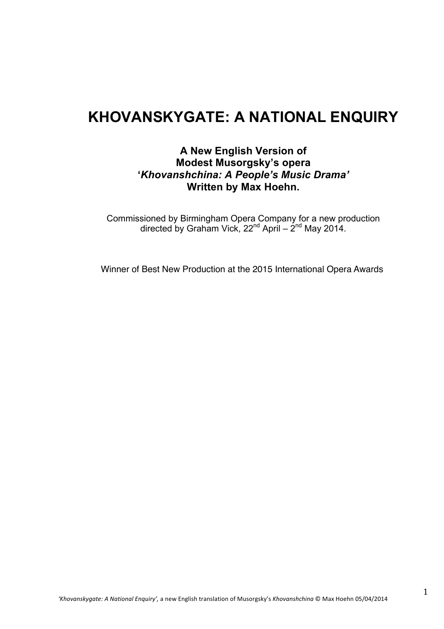# **KHOVANSKYGATE: A NATIONAL ENQUIRY**

# **A New English Version of Modest Musorgsky's opera '***Khovanshchina: A People's Music Drama'* **Written by Max Hoehn.**

Commissioned by Birmingham Opera Company for a new production directed by Graham Vick, 22<sup>nd</sup> April – 2<sup>nd</sup> May 2014.

Winner of Best New Production at the 2015 International Opera Awards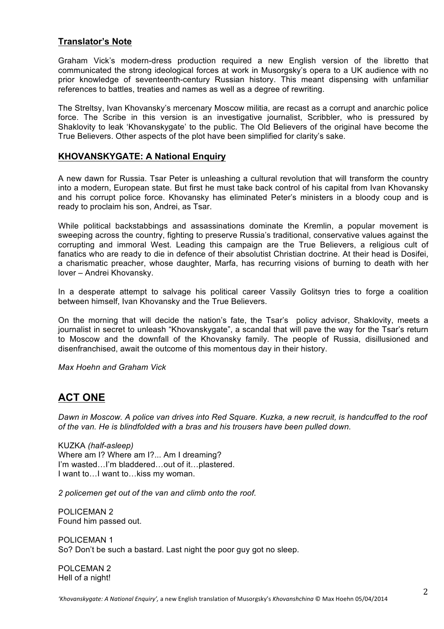### **Translator's Note**

Graham Vick's modern-dress production required a new English version of the libretto that communicated the strong ideological forces at work in Musorgsky's opera to a UK audience with no prior knowledge of seventeenth-century Russian history. This meant dispensing with unfamiliar references to battles, treaties and names as well as a degree of rewriting.

The Streltsy, Ivan Khovansky's mercenary Moscow militia, are recast as a corrupt and anarchic police force. The Scribe in this version is an investigative journalist, Scribbler, who is pressured by Shaklovity to leak 'Khovanskygate' to the public. The Old Believers of the original have become the True Believers. Other aspects of the plot have been simplified for clarity's sake.

### **KHOVANSKYGATE: A National Enquiry**

A new dawn for Russia. Tsar Peter is unleashing a cultural revolution that will transform the country into a modern, European state. But first he must take back control of his capital from Ivan Khovansky and his corrupt police force. Khovansky has eliminated Peter's ministers in a bloody coup and is ready to proclaim his son, Andrei, as Tsar.

While political backstabbings and assassinations dominate the Kremlin, a popular movement is sweeping across the country, fighting to preserve Russia's traditional, conservative values against the corrupting and immoral West. Leading this campaign are the True Believers, a religious cult of fanatics who are ready to die in defence of their absolutist Christian doctrine. At their head is Dosifei, a charismatic preacher, whose daughter, Marfa, has recurring visions of burning to death with her lover – Andrei Khovansky.

In a desperate attempt to salvage his political career Vassily Golitsyn tries to forge a coalition between himself, Ivan Khovansky and the True Believers.

On the morning that will decide the nation's fate, the Tsar's policy advisor, Shaklovity, meets a journalist in secret to unleash "Khovanskygate", a scandal that will pave the way for the Tsar's return to Moscow and the downfall of the Khovansky family. The people of Russia, disillusioned and disenfranchised, await the outcome of this momentous day in their history.

*Max Hoehn and Graham Vick*

# **ACT ONE**

*Dawn in Moscow. A police van drives into Red Square. Kuzka, a new recruit, is handcuffed to the roof of the van. He is blindfolded with a bras and his trousers have been pulled down.* 

KUZKA *(half-asleep)* Where am I? Where am I?... Am I dreaming? I'm wasted…I'm bladdered…out of it…plastered. I want to…I want to…kiss my woman.

*2 policemen get out of the van and climb onto the roof.*

POLICEMAN 2 Found him passed out.

POLICEMAN 1 So? Don't be such a bastard. Last night the poor guy got no sleep.

POLCEMAN 2 Hell of a night!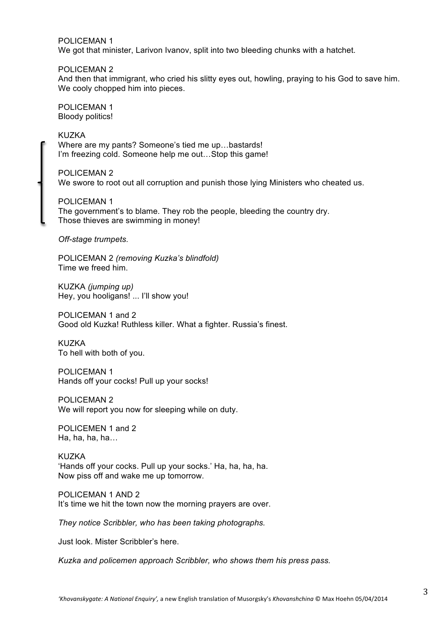POLICEMAN 1 We got that minister, Larivon Ivanov, split into two bleeding chunks with a hatchet.

POLICEMAN 2 And then that immigrant, who cried his slitty eyes out, howling, praying to his God to save him. We cooly chopped him into pieces.

POLICEMAN 1 Bloody politics!

KUZKA Where are my pants? Someone's tied me up…bastards! I'm freezing cold. Someone help me out…Stop this game!

POLICEMAN 2 We swore to root out all corruption and punish those lying Ministers who cheated us.

POLICEMAN 1 The government's to blame. They rob the people, bleeding the country dry. Those thieves are swimming in money!

*Off-stage trumpets.*

POLICEMAN 2 *(removing Kuzka's blindfold)* Time we freed him.

KUZKA *(jumping up)* Hey, you hooligans! ... I'll show you!

POLICEMAN 1 and 2 Good old Kuzka! Ruthless killer. What a fighter. Russia's finest.

KUZKA To hell with both of you.

POLICEMAN 1 Hands off your cocks! Pull up your socks!

POLICEMAN 2

We will report you now for sleeping while on duty.

POLICEMEN 1 and 2 Ha, ha, ha, ha $\ldots$ 

KUZKA 'Hands off your cocks. Pull up your socks.' Ha, ha, ha, ha. Now piss off and wake me up tomorrow.

POLICEMAN 1 AND 2 It's time we hit the town now the morning prayers are over.

*They notice Scribbler, who has been taking photographs.* 

Just look. Mister Scribbler's here.

*Kuzka and policemen approach Scribbler, who shows them his press pass.*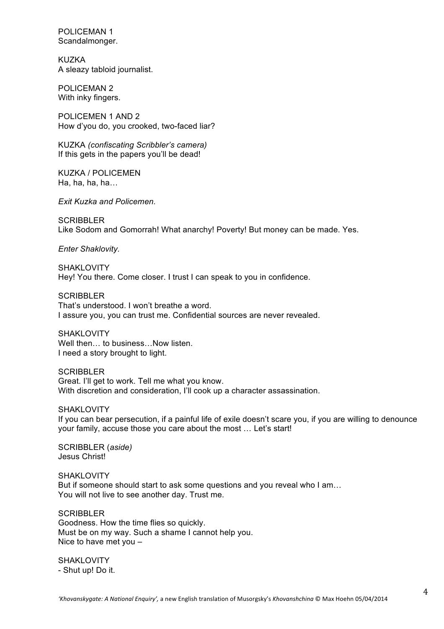POLICEMAN 1 Scandalmonger.

KUZKA A sleazy tabloid journalist.

POLICEMAN 2 With inky fingers.

POLICEMEN 1 AND 2 How d'you do, you crooked, two-faced liar?

KUZKA *(confiscating Scribbler's camera)* If this gets in the papers you'll be dead!

KUZKA / POLICEMEN Ha, ha, ha, ha, $\ldots$ 

*Exit Kuzka and Policemen.*

SCRIBBLER Like Sodom and Gomorrah! What anarchy! Poverty! But money can be made. Yes.

*Enter Shaklovity.*

SHAKLOVITY Hey! You there. Come closer. I trust I can speak to you in confidence.

**SCRIBBLER** That's understood. I won't breathe a word. I assure you, you can trust me. Confidential sources are never revealed.

SHAKI OVITY Well then... to business... Now listen. I need a story brought to light.

**SCRIBBLER** Great. I'll get to work. Tell me what you know. With discretion and consideration. I'll cook up a character assassination.

SHAKI OVITY If you can bear persecution, if a painful life of exile doesn't scare you, if you are willing to denounce your family, accuse those you care about the most … Let's start!

SCRIBBLER (*aside)* Jesus Christ!

**SHAKLOVITY** But if someone should start to ask some questions and you reveal who I am… You will not live to see another day. Trust me.

**SCRIBBLER** Goodness. How the time flies so quickly. Must be on my way. Such a shame I cannot help you. Nice to have met you –

SHAKLOVITY - Shut up! Do it.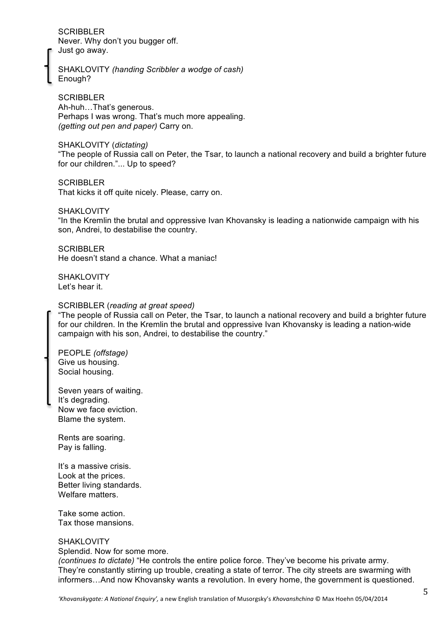SCRIBBLER Never. Why don't you bugger off. Just go away.

SHAKLOVITY *(handing Scribbler a wodge of cash)* Enough?

**SCRIBBLER** Ah-huh…That's generous. Perhaps I was wrong. That's much more appealing. *(getting out pen and paper)* Carry on.

#### SHAKLOVITY (*dictating)*

"The people of Russia call on Peter, the Tsar, to launch a national recovery and build a brighter future for our children."... Up to speed?

**SCRIBBLER** That kicks it off quite nicely. Please, carry on.

SHAKLOVITY "In the Kremlin the brutal and oppressive Ivan Khovansky is leading a nationwide campaign with his son, Andrei, to destabilise the country.

**SCRIBBLER** He doesn't stand a chance. What a maniac!

SHAKI OVITY Let's hear it.

#### SCRIBBLER (*reading at great speed)*

"The people of Russia call on Peter, the Tsar, to launch a national recovery and build a brighter future for our children. In the Kremlin the brutal and oppressive Ivan Khovansky is leading a nation-wide campaign with his son, Andrei, to destabilise the country."

PEOPLE *(offstage)* Give us housing. Social housing.

Seven years of waiting. It's degrading. Now we face eviction. Blame the system.

Rents are soaring. Pay is falling.

It's a massive crisis. Look at the prices. Better living standards. Welfare matters.

Take some action. Tax those mansions.

#### **SHAKLOVITY**

Splendid. Now for some more.

*(continues to dictate)* "He controls the entire police force. They've become his private army. They're constantly stirring up trouble, creating a state of terror. The city streets are swarming with informers…And now Khovansky wants a revolution. In every home, the government is questioned.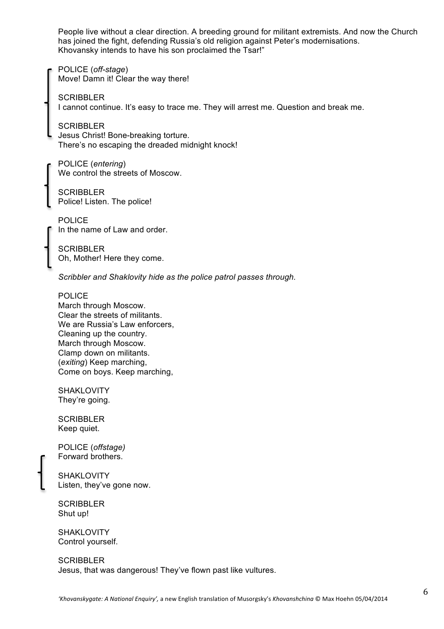People live without a clear direction. A breeding ground for militant extremists. And now the Church has joined the fight, defending Russia's old religion against Peter's modernisations. Khovansky intends to have his son proclaimed the Tsar!"

POLICE (*off-stage*) Move! Damn it! Clear the way there!

**SCRIBBLER** I cannot continue. It's easy to trace me. They will arrest me. Question and break me.

**SCRIBBLER** Jesus Christ! Bone-breaking torture. There's no escaping the dreaded midnight knock!

POLICE (*entering*) We control the streets of Moscow.

**SCRIBBLER** Police! Listen. The police!

POLICE In the name of Law and order.

**SCRIBBLER** Oh, Mother! Here they come.

*Scribbler and Shaklovity hide as the police patrol passes through.*

POLICE March through Moscow. Clear the streets of militants. We are Russia's Law enforcers. Cleaning up the country. March through Moscow. Clamp down on militants. (*exiting*) Keep marching, Come on boys. Keep marching,

**SHAKLOVITY** They're going.

**SCRIBBLER** Keep quiet.

POLICE (*offstage)* Forward brothers.

**SHAKLOVITY** Listen, they've gone now.

**SCRIBBLER** Shut up!

**SHAKLOVITY** Control yourself.

**SCRIBBLER** Jesus, that was dangerous! They've flown past like vultures.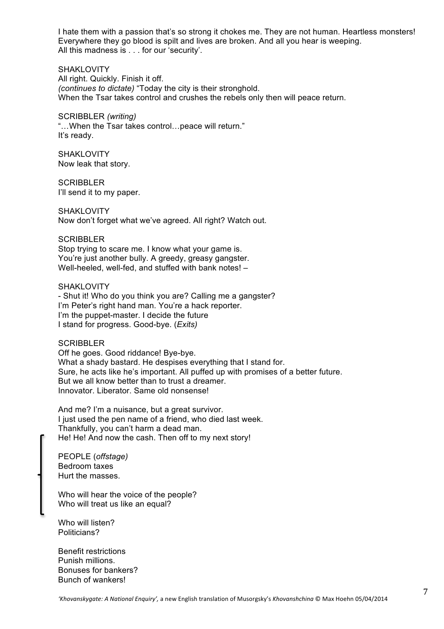I hate them with a passion that's so strong it chokes me. They are not human. Heartless monsters! Everywhere they go blood is spilt and lives are broken. And all you hear is weeping. All this madness is . . . for our 'security'.

SHAKLOVITY All right. Quickly. Finish it off. *(continues to dictate)* "Today the city is their stronghold. When the Tsar takes control and crushes the rebels only then will peace return.

SCRIBBLER *(writing)* "…When the Tsar takes control…peace will return." It's ready.

SHAKLOVITY Now leak that story.

**SCRIBBLER** I'll send it to my paper.

SHAKLOVITY Now don't forget what we've agreed. All right? Watch out.

**SCRIBBLER** Stop trying to scare me. I know what your game is. You're just another bully. A greedy, greasy gangster. Well-heeled, well-fed, and stuffed with bank notes! –

SHAKLOVITY - Shut it! Who do you think you are? Calling me a gangster? I'm Peter's right hand man. You're a hack reporter. I'm the puppet-master. I decide the future I stand for progress. Good-bye. (*Exits)*

**SCRIBBLER** 

Off he goes. Good riddance! Bye-bye. What a shady bastard. He despises everything that I stand for. Sure, he acts like he's important. All puffed up with promises of a better future. But we all know better than to trust a dreamer. Innovator. Liberator. Same old nonsense!

And me? I'm a nuisance, but a great survivor. I just used the pen name of a friend, who died last week. Thankfully, you can't harm a dead man. He! He! And now the cash. Then off to my next story!

PEOPLE (*offstage)* Bedroom taxes Hurt the masses.

Who will hear the voice of the people? Who will treat us like an equal?

Who will listen? Politicians?

Benefit restrictions Punish millions. Bonuses for bankers? Bunch of wankers!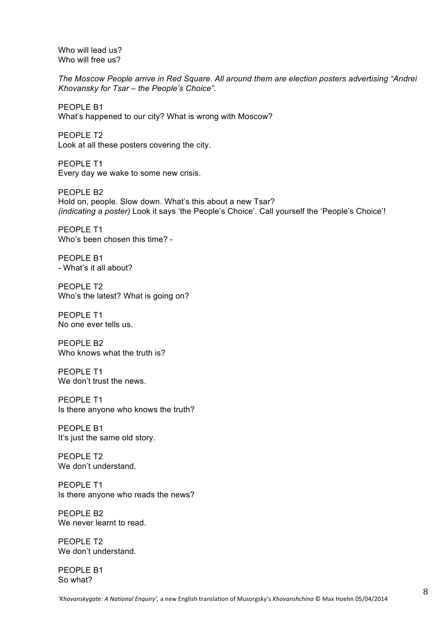Who will lead us? Who will free us?

*The Moscow People arrive in Red Square. All around them are election posters advertising "Andrei Khovansky for Tsar – the People's Choice".* 

PEOPLE B1 What's happened to our city? What is wrong with Moscow?

PEOPLE T2 Look at all these posters covering the city.

PEOPLE T1 Every day we wake to some new crisis.

PEOPLE B2 Hold on, people. Slow down. What's this about a new Tsar? *(indicating a poster)* Look it says 'the People's Choice'. Call yourself the 'People's Choice'!

PEOPLE T1 Who's been chosen this time? -

PEOPLE B1 - What's it all about?

PEOPLE T2 Who's the latest? What is going on?

PEOPLE T1 No one ever tells us.

PEOPLE B2 Who knows what the truth is?

PEOPLE T1 We don't trust the news.

PEOPLE T1 Is there anyone who knows the truth?

PEOPLE B1 It's just the same old story.

PEOPLE T2 We don't understand.

PEOPLE T1 Is there anyone who reads the news?

PEOPLE B2 We never learnt to read.

PEOPLE T2 We don't understand.

PEOPLE B1 So what?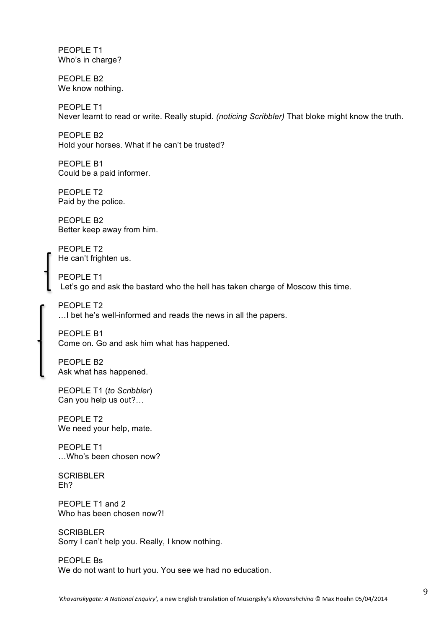PEOPLE T1 Who's in charge?

PEOPLE B2 We know nothing.

PEOPLE T1 Never learnt to read or write. Really stupid. *(noticing Scribbler)* That bloke might know the truth.

PEOPLE B2 Hold your horses. What if he can't be trusted?

PEOPLE B1 Could be a paid informer.

PEOPLE T2 Paid by the police.

PFOPLE B<sub>2</sub> Better keep away from him.

PEOPLE T2 He can't frighten us.

PEOPLE T1 Let's go and ask the bastard who the hell has taken charge of Moscow this time.

PEOPLE T2 …I bet he's well-informed and reads the news in all the papers.

PEOPLE B1 Come on. Go and ask him what has happened.

PEOPLE B2 Ask what has happened.

PEOPLE T1 (*to Scribbler*) Can you help us out?…

PEOPLE T2 We need your help, mate.

PFOPLE T1 …Who's been chosen now?

**SCRIBBLER** Eh?

PEOPLE T1 and 2 Who has been chosen now?!

**SCRIBBLER** Sorry I can't help you. Really, I know nothing.

PEOPLE Bs We do not want to hurt you. You see we had no education.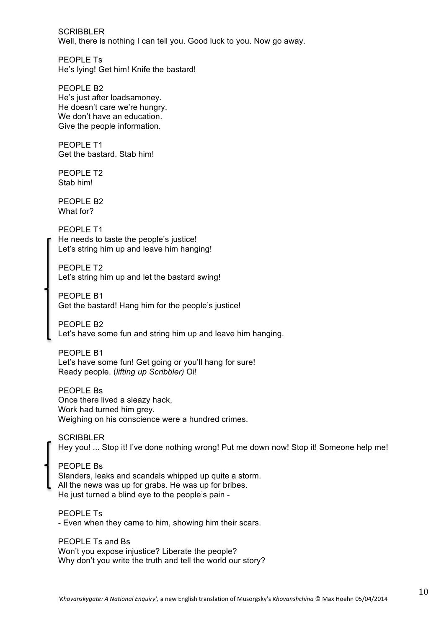SCRIBBLER Well, there is nothing I can tell you. Good luck to you. Now go away.

PEOPLE Ts He's lying! Get him! Knife the bastard!

PEOPLE B2 He's just after loadsamoney. He doesn't care we're hungry. We don't have an education. Give the people information.

PEOPLE T1 Get the bastard. Stab him!

PEOPLE T<sub>2</sub> Stab him!

PFOPLE B<sub>2</sub> What for?

PEOPLE T1 He needs to taste the people's justice! Let's string him up and leave him hanging!

PEOPLE T2 Let's string him up and let the bastard swing!

PEOPLE B1 Get the bastard! Hang him for the people's justice!

PEOPLE B2 Let's have some fun and string him up and leave him hanging.

PFOPLE B1 Let's have some fun! Get going or you'll hang for sure! Ready people. (*lifting up Scribbler)* Oi!

PEOPLE Bs Once there lived a sleazy hack, Work had turned him grey. Weighing on his conscience were a hundred crimes.

**SCRIBBLER** Hey you! ... Stop it! I've done nothing wrong! Put me down now! Stop it! Someone help me!

PEOPLE Bs Slanders, leaks and scandals whipped up quite a storm. All the news was up for grabs. He was up for bribes. He just turned a blind eye to the people's pain -

PEOPLE Ts - Even when they came to him, showing him their scars.

PEOPLE Ts and Bs Won't you expose injustice? Liberate the people? Why don't you write the truth and tell the world our story?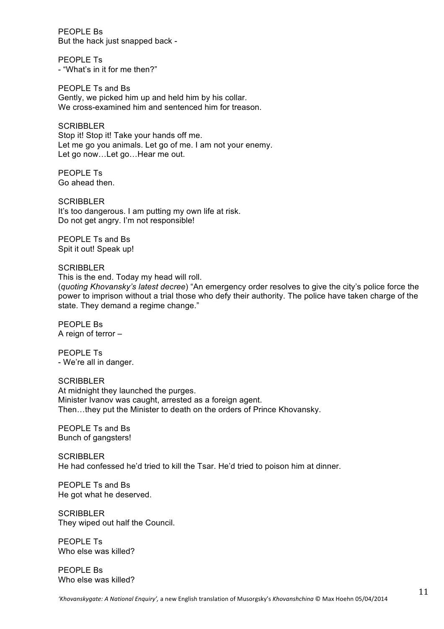PEOPLE Bs But the hack just snapped back -

PEOPLE Ts - "What's in it for me then?"

PEOPLE Ts and Bs Gently, we picked him up and held him by his collar. We cross-examined him and sentenced him for treason.

**SCRIBBLER** Stop it! Stop it! Take your hands off me. Let me go you animals. Let go of me. I am not your enemy. Let go now...Let go...Hear me out.

PEOPLE Ts Go ahead then.

SCRIBBLER It's too dangerous. I am putting my own life at risk. Do not get angry. I'm not responsible!

PEOPLE Ts and Bs Spit it out! Speak up!

#### **SCRIBBLER**

This is the end. Today my head will roll.

(*quoting Khovansky's latest decree*) "An emergency order resolves to give the city's police force the power to imprison without a trial those who defy their authority. The police have taken charge of the state. They demand a regime change."

PEOPLE Bs A reign of terror –

PEOPLE Ts - We're all in danger.

**SCRIBBLER** At midnight they launched the purges. Minister Ivanov was caught, arrested as a foreign agent. Then…they put the Minister to death on the orders of Prince Khovansky.

PEOPLE Ts and Bs Bunch of gangsters!

**SCRIBBLER** He had confessed he'd tried to kill the Tsar. He'd tried to poison him at dinner.

PEOPLE Ts and Bs He got what he deserved.

**SCRIBBLER** They wiped out half the Council.

PEOPLE Ts Who else was killed?

PEOPLE Bs Who else was killed?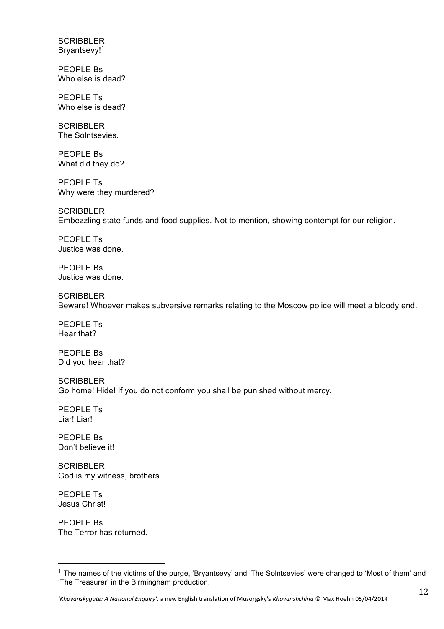**SCRIBBLER** Bryantsevy!<sup>1</sup>

PEOPLE Bs Who else is dead?

PEOPLE Ts Who else is dead?

**SCRIBBLER** The Solntsevies.

PEOPLE Bs What did they do?

PEOPLE Ts Why were they murdered?

**SCRIBBLER** Embezzling state funds and food supplies. Not to mention, showing contempt for our religion.

PEOPLE Ts Justice was done.

PEOPLE Bs Justice was done.

**SCRIBBLER** Beware! Whoever makes subversive remarks relating to the Moscow police will meet a bloody end.

PEOPLE Ts Hear that?

PEOPLE Bs Did you hear that?

**SCRIBBLER** Go home! Hide! If you do not conform you shall be punished without mercy.

PEOPLE Ts Liar! Liar!

PEOPLE Bs Don't believe it!

**SCRIBBLER** God is my witness, brothers.

PEOPLE Ts Jesus Christ!

PEOPLE Bs The Terror has returned.

"""""""""""""""""""""""""""""""""""""""""""""""""""""""

<sup>&</sup>lt;sup>1</sup> The names of the victims of the purge, 'Bryantsevy' and 'The Solntsevies' were changed to 'Most of them' and 'The Treasurer' in the Birmingham production.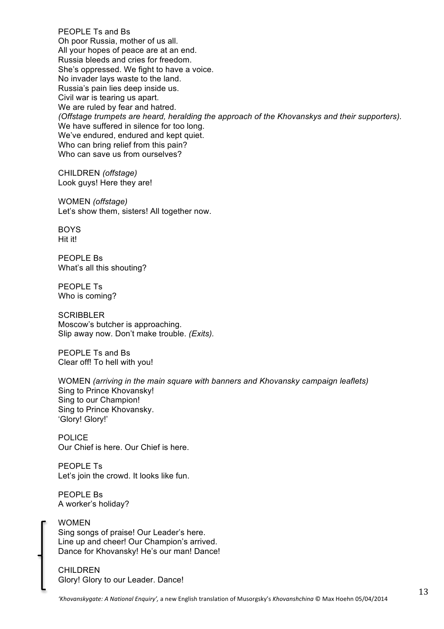PEOPLE Ts and Bs Oh poor Russia, mother of us all. All your hopes of peace are at an end. Russia bleeds and cries for freedom. She's oppressed. We fight to have a voice. No invader lays waste to the land. Russia's pain lies deep inside us. Civil war is tearing us apart. We are ruled by fear and hatred. *(Offstage trumpets are heard, heralding the approach of the Khovanskys and their supporters).* We have suffered in silence for too long. We've endured, endured and kept quiet. Who can bring relief from this pain? Who can save us from ourselves?

CHILDREN *(offstage)* Look guys! Here they are!

WOMEN *(offstage)* Let's show them, sisters! All together now.

**BOYS** Hit it!

PEOPLE Bs What's all this shouting?

PEOPLE Ts Who is coming?

**SCRIBBLER** Moscow's butcher is approaching. Slip away now. Don't make trouble. *(Exits).*

PEOPLE Ts and Bs Clear off! To hell with you!

WOMEN *(arriving in the main square with banners and Khovansky campaign leaflets)* Sing to Prince Khovansky! Sing to our Champion! Sing to Prince Khovansky. 'Glory! Glory!'

POLICE Our Chief is here. Our Chief is here.

PEOPLE Ts Let's join the crowd. It looks like fun.

PEOPLE Bs A worker's holiday?

#### WOMEN

Sing songs of praise! Our Leader's here. Line up and cheer! Our Champion's arrived. Dance for Khovansky! He's our man! Dance!

CHILDREN Glory! Glory to our Leader. Dance!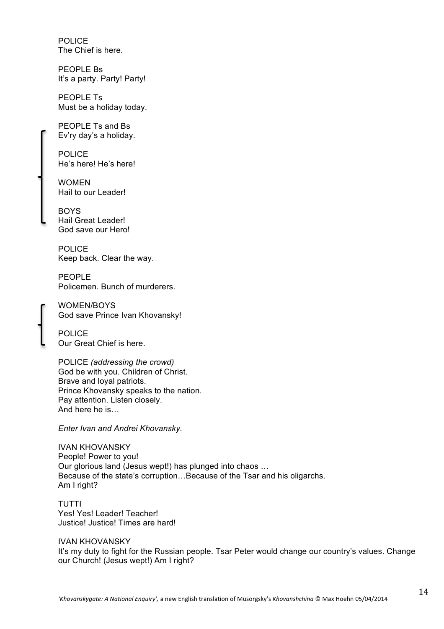POLICE The Chief is here.

PEOPLE Bs It's a party. Party! Party!

PEOPLE Ts Must be a holiday today.

PEOPLE Ts and Bs Ev'ry day's a holiday.

POLICE He's here! He's here!

WOMEN Hail to our Leader!

**BOYS** Hail Great Leader! God save our Hero!

POLICE Keep back. Clear the way.

PFOPLE Policemen. Bunch of murderers.

WOMEN/BOYS God save Prince Ivan Khovansky!

POLICE Our Great Chief is here.

POLICE *(addressing the crowd)* God be with you. Children of Christ. Brave and loyal patriots. Prince Khovansky speaks to the nation. Pay attention. Listen closely. And here he is…

*Enter Ivan and Andrei Khovansky.*

IVAN KHOVANSKY People! Power to you! Our glorious land (Jesus wept!) has plunged into chaos … Because of the state's corruption…Because of the Tsar and his oligarchs. Am I right?

TUTTI Yes! Yes! Leader! Teacher! Justice! Justice! Times are hard!

IVAN KHOVANSKY It's my duty to fight for the Russian people. Tsar Peter would change our country's values. Change our Church! (Jesus wept!) Am I right?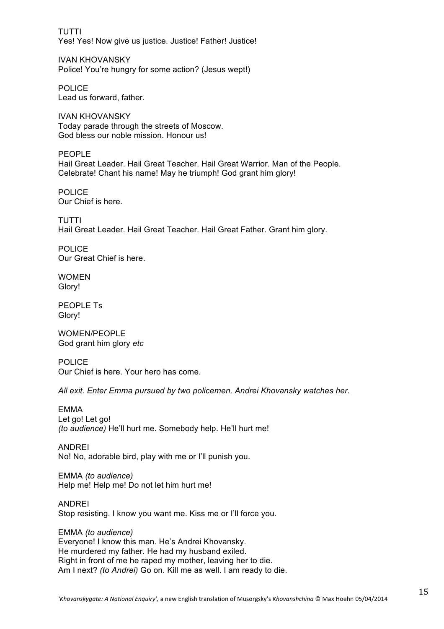TUTTI Yes! Yes! Now give us justice. Justice! Father! Justice!

IVAN KHOVANSKY Police! You're hungry for some action? (Jesus wept!)

POLICE Lead us forward, father.

IVAN KHOVANSKY Today parade through the streets of Moscow. God bless our noble mission. Honour us!

PEOPLE Hail Great Leader. Hail Great Teacher. Hail Great Warrior. Man of the People. Celebrate! Chant his name! May he triumph! God grant him glory!

POLICE Our Chief is here.

TUTTI Hail Great Leader. Hail Great Teacher. Hail Great Father. Grant him glory.

POLICE Our Great Chief is here.

**WOMEN** Glory!

PEOPLE Ts Glory!

WOMEN/PEOPLE God grant him glory *etc*

POLICE Our Chief is here. Your hero has come.

*All exit. Enter Emma pursued by two policemen. Andrei Khovansky watches her.*

EMMA Let go! Let go! *(to audience)* He'll hurt me. Somebody help. He'll hurt me!

ANDREI No! No, adorable bird, play with me or I'll punish you.

EMMA *(to audience)* Help me! Help me! Do not let him hurt me!

ANDREI Stop resisting. I know you want me. Kiss me or I'll force you.

EMMA *(to audience)* Everyone! I know this man. He's Andrei Khovansky. He murdered my father. He had my husband exiled. Right in front of me he raped my mother, leaving her to die. Am I next? *(to Andrei)* Go on. Kill me as well. I am ready to die.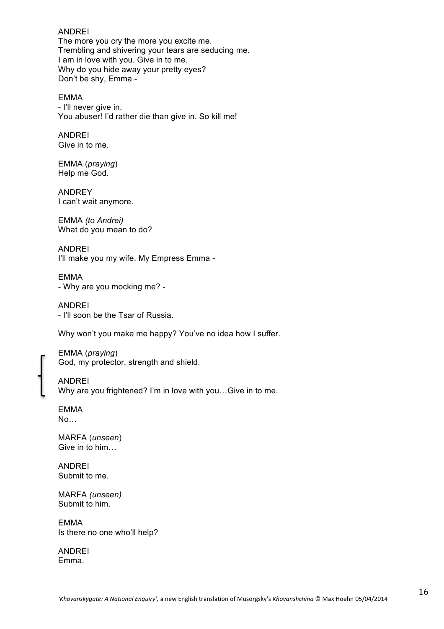#### ANDREI

The more you cry the more you excite me. Trembling and shivering your tears are seducing me. I am in love with you. Give in to me. Why do you hide away your pretty eyes? Don't be shy, Emma -

EMMA - I'll never give in. You abuser! I'd rather die than give in. So kill me!

#### ANDREI Give in to me.

EMMA (*praying*) Help me God.

ANDREY I can't wait anymore.

EMMA *(to Andrei)* What do you mean to do?

ANDREI I'll make you my wife. My Empress Emma -

EMMA - Why are you mocking me? -

ANDREI - I'll soon be the Tsar of Russia.

Why won't you make me happy? You've no idea how I suffer.

EMMA (*praying*) God, my protector, strength and shield.

ANDREI Why are you frightened? I'm in love with you…Give in to me.

EMMA No…

MARFA (*unseen*) Give in to him…

ANDREI Submit to me.

MARFA *(unseen)* Submit to him.

EMMA Is there no one who'll help?

ANDREI Emma.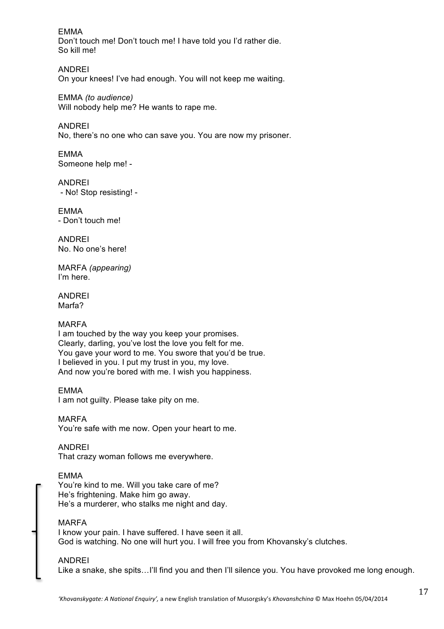EMMA Don't touch me! Don't touch me! I have told you I'd rather die. So kill me!

ANDREI On your knees! I've had enough. You will not keep me waiting.

EMMA *(to audience)* Will nobody help me? He wants to rape me.

ANDREI No, there's no one who can save you. You are now my prisoner.

EMMA Someone help me! -

ANDREI - No! Stop resisting! -

EMMA - Don't touch me!

ANDREI No. No one's here!

MARFA *(appearing)* I'm here.

ANDREI Marfa?

### MARFA

I am touched by the way you keep your promises. Clearly, darling, you've lost the love you felt for me. You gave your word to me. You swore that you'd be true. I believed in you. I put my trust in you, my love. And now you're bored with me. I wish you happiness.

EMMA

I am not guilty. Please take pity on me.

MARFA You're safe with me now. Open your heart to me.

ANDREI That crazy woman follows me everywhere.

### EMMA

You're kind to me. Will you take care of me? He's frightening. Make him go away. He's a murderer, who stalks me night and day.

### MARFA

I know your pain. I have suffered. I have seen it all. God is watching. No one will hurt you. I will free you from Khovansky's clutches.

### ANDREI

Like a snake, she spits…I'll find you and then I'll silence you. You have provoked me long enough.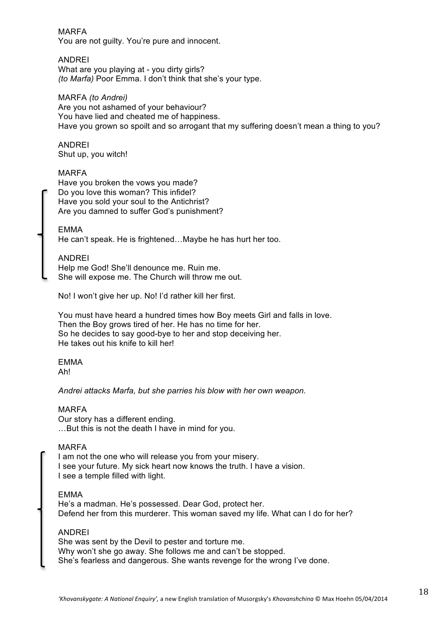#### MARFA

You are not guilty. You're pure and innocent.

#### ANDREI

What are you playing at - you dirty girls? *(to Marfa)* Poor Emma. I don't think that she's your type.

#### MARFA *(to Andrei)*

Are you not ashamed of your behaviour? You have lied and cheated me of happiness. Have you grown so spoilt and so arrogant that my suffering doesn't mean a thing to you?

# ANDREI

Shut up, you witch!

#### MARFA

Have you broken the vows you made? Do you love this woman? This infidel? Have you sold your soul to the Antichrist? Are you damned to suffer God's punishment?

#### EMMA

He can't speak. He is frightened…Maybe he has hurt her too.

#### ANDREI

Help me God! She'll denounce me. Ruin me. She will expose me. The Church will throw me out.

No! I won't give her up. No! I'd rather kill her first.

You must have heard a hundred times how Boy meets Girl and falls in love. Then the Boy grows tired of her. He has no time for her. So he decides to say good-bye to her and stop deceiving her. He takes out his knife to kill her!

### EMMA

Ah!

#### *Andrei attacks Marfa, but she parries his blow with her own weapon.*

#### MARFA

Our story has a different ending. …But this is not the death I have in mind for you.

#### MARFA

I am not the one who will release you from your misery. I see your future. My sick heart now knows the truth. I have a vision. I see a temple filled with light.

#### EMMA

He's a madman. He's possessed. Dear God, protect her. Defend her from this murderer. This woman saved my life. What can I do for her?

#### ANDREI

She was sent by the Devil to pester and torture me. Why won't she go away. She follows me and can't be stopped. She's fearless and dangerous. She wants revenge for the wrong I've done.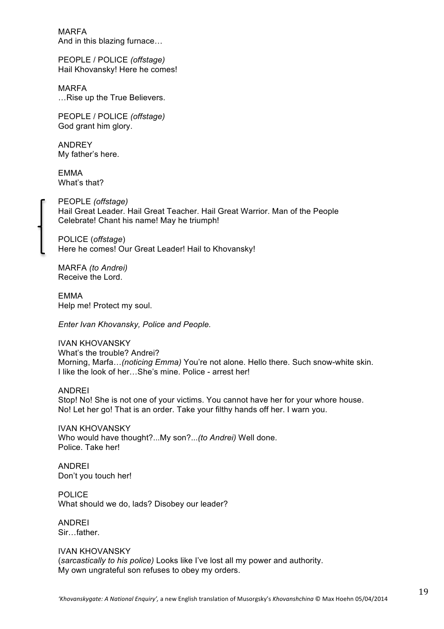MARFA And in this blazing furnace…

PEOPLE / POLICE *(offstage)* Hail Khovansky! Here he comes!

MARFA …Rise up the True Believers.

PEOPLE / POLICE *(offstage)* God grant him glory.

ANDREY My father's here.

EMMA What's that?

PEOPLE *(offstage)* Hail Great Leader. Hail Great Teacher. Hail Great Warrior. Man of the People Celebrate! Chant his name! May he triumph!

POLICE (*offstage*) Here he comes! Our Great Leader! Hail to Khovansky!

MARFA *(to Andrei)* Receive the Lord.

EMMA Help me! Protect my soul.

*Enter Ivan Khovansky, Police and People.*

IVAN KHOVANSKY What's the trouble? Andrei? Morning, Marfa…*(noticing Emma)* You're not alone. Hello there. Such snow-white skin. I like the look of her…She's mine. Police - arrest her!

#### ANDREI

Stop! No! She is not one of your victims. You cannot have her for your whore house. No! Let her go! That is an order. Take your filthy hands off her. I warn you.

IVAN KHOVANSKY Who would have thought?...My son?...*(to Andrei)* Well done. Police. Take her!

ANDREI Don't you touch her!

POLICE What should we do, lads? Disobey our leader?

ANDREI Sir…father.

IVAN KHOVANSKY (*sarcastically to his police)* Looks like I've lost all my power and authority. My own ungrateful son refuses to obey my orders.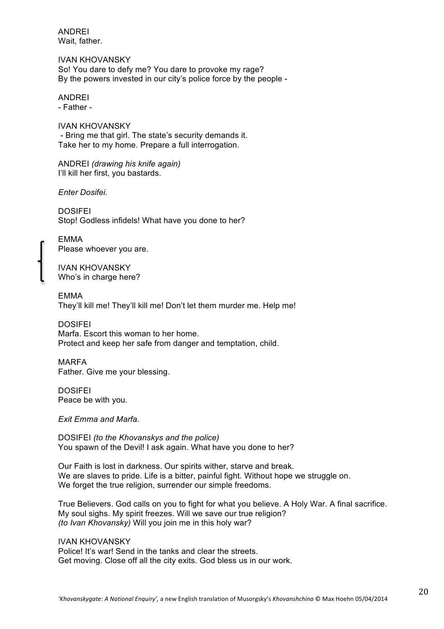ANDREI Wait, father.

IVAN KHOVANSKY So! You dare to defy me? You dare to provoke my rage? By the powers invested in our city's police force by the people -

ANDREI - Father -

IVAN KHOVANSKY - Bring me that girl. The state's security demands it. Take her to my home. Prepare a full interrogation.

ANDREI *(drawing his knife again)* I'll kill her first, you bastards.

*Enter Dosifei.*

**DOSIFFI** Stop! Godless infidels! What have you done to her?

EMMA Please whoever you are.

IVAN KHOVANSKY Who's in charge here?

EMMA They'll kill me! They'll kill me! Don't let them murder me. Help me!

**DOSIFFI** Marfa. Escort this woman to her home. Protect and keep her safe from danger and temptation, child.

MARFA Father. Give me your blessing.

DOSIFEI Peace be with you.

*Exit Emma and Marfa.*

DOSIFEI *(to the Khovanskys and the police)* You spawn of the Devil! I ask again. What have you done to her?

Our Faith is lost in darkness. Our spirits wither, starve and break. We are slaves to pride. Life is a bitter, painful fight. Without hope we struggle on. We forget the true religion, surrender our simple freedoms.

True Believers. God calls on you to fight for what you believe. A Holy War. A final sacrifice. My soul sighs. My spirit freezes. Will we save our true religion? *(to Ivan Khovansky)* Will you join me in this holy war?

IVAN KHOVANSKY Police! It's war! Send in the tanks and clear the streets. Get moving. Close off all the city exits. God bless us in our work.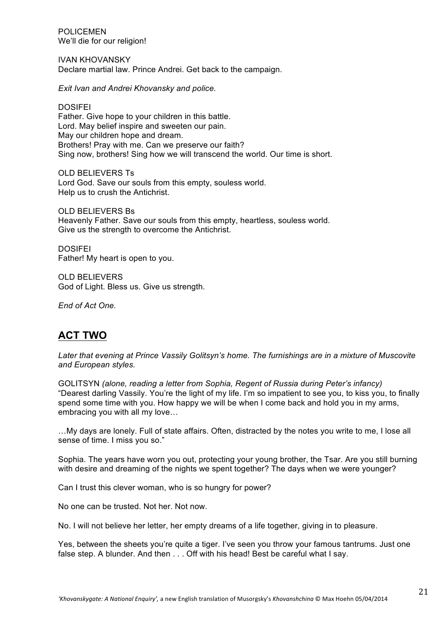POLICEMEN We'll die for our religion!

IVAN KHOVANSKY Declare martial law. Prince Andrei. Get back to the campaign.

*Exit Ivan and Andrei Khovansky and police.* 

DOSIFEI Father. Give hope to your children in this battle. Lord. May belief inspire and sweeten our pain. May our children hope and dream. Brothers! Pray with me. Can we preserve our faith? Sing now, brothers! Sing how we will transcend the world. Our time is short.

OLD BELIEVERS Ts Lord God. Save our souls from this empty, souless world. Help us to crush the Antichrist.

OLD BELIEVERS Bs Heavenly Father. Save our souls from this empty, heartless, souless world. Give us the strength to overcome the Antichrist.

DOSIFEI Father! My heart is open to you.

OLD BELIEVERS God of Light. Bless us. Give us strength.

*End of Act One.*

# **ACT TWO**

*Later that evening at Prince Vassily Golitsyn's home. The furnishings are in a mixture of Muscovite and European styles.* 

GOLITSYN *(alone, reading a letter from Sophia, Regent of Russia during Peter's infancy)* "Dearest darling Vassily. You're the light of my life. I'm so impatient to see you, to kiss you, to finally spend some time with you. How happy we will be when I come back and hold you in my arms, embracing you with all my love…

…My days are lonely. Full of state affairs. Often, distracted by the notes you write to me, I lose all sense of time. I miss you so."

Sophia. The years have worn you out, protecting your young brother, the Tsar. Are you still burning with desire and dreaming of the nights we spent together? The days when we were younger?

Can I trust this clever woman, who is so hungry for power?

No one can be trusted. Not her. Not now.

No. I will not believe her letter, her empty dreams of a life together, giving in to pleasure.

Yes, between the sheets you're quite a tiger. I've seen you throw your famous tantrums. Just one false step. A blunder. And then . . . Off with his head! Best be careful what I say.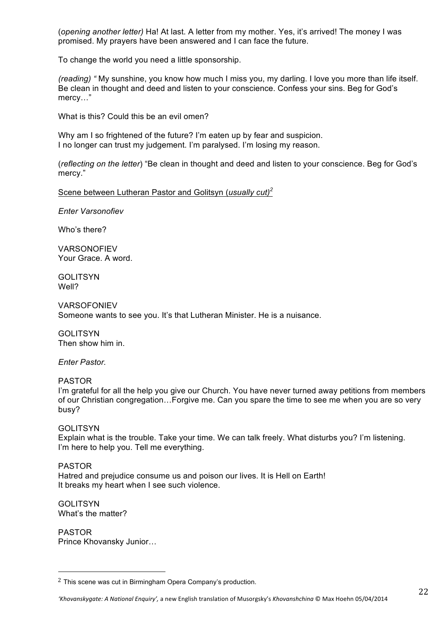(*opening another letter)* Ha! At last. A letter from my mother. Yes, it's arrived! The money I was promised. My prayers have been answered and I can face the future.

To change the world you need a little sponsorship.

*(reading) "* My sunshine, you know how much I miss you, my darling. I love you more than life itself. Be clean in thought and deed and listen to your conscience. Confess your sins. Beg for God's mercy…"

What is this? Could this be an evil omen?

Why am I so frightened of the future? I'm eaten up by fear and suspicion. I no longer can trust my judgement. I'm paralysed. I'm losing my reason.

(*reflecting on the letter*) "Be clean in thought and deed and listen to your conscience. Beg for God's mercy."

Scene between Lutheran Pastor and Golitsyn (*usually cut)<sup>2</sup>*

*Enter Varsonofiev*

Who's there?

**VARSONOFIEV** Your Grace. A word.

GOLITSYN Well?

VARSOFONIEV Someone wants to see you. It's that Lutheran Minister. He is a nuisance.

GOLITSYN Then show him in.

*Enter Pastor.*

PASTOR I'm grateful for all the help you give our Church. You have never turned away petitions from members of our Christian congregation…Forgive me. Can you spare the time to see me when you are so very busy?

**GOLITSYN** Explain what is the trouble. Take your time. We can talk freely. What disturbs you? I'm listening. I'm here to help you. Tell me everything.

PASTOR Hatred and prejudice consume us and poison our lives. It is Hell on Earth! It breaks my heart when I see such violence.

GOLITSYN What's the matter?

PASTOR Prince Khovansky Junior…

"""""""""""""""""""""""""""""""""""""""""""""""""""""""

 $2$  This scene was cut in Birmingham Opera Company's production.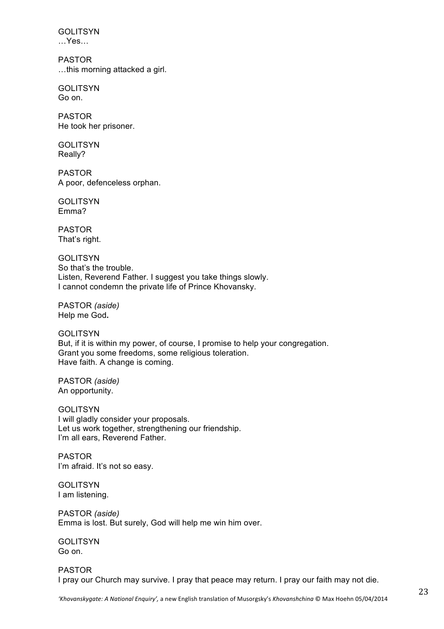GOLITSYN …Yes…

PASTOR …this morning attacked a girl.

**GOLITSYN** Go on.

PASTOR He took her prisoner.

**GOLITSYN** Really?

PASTOR A poor, defenceless orphan.

GOLITSYN Emma?

PASTOR That's right.

**GOLITSYN** So that's the trouble. Listen, Reverend Father. I suggest you take things slowly. I cannot condemn the private life of Prince Khovansky.

PASTOR *(aside)* Help me God**.**

GOLITSYN But, if it is within my power, of course, I promise to help your congregation. Grant you some freedoms, some religious toleration. Have faith. A change is coming.

PASTOR *(aside)* An opportunity.

**GOLITSYN** I will gladly consider your proposals. Let us work together, strengthening our friendship. I'm all ears, Reverend Father.

PASTOR I'm afraid. It's not so easy.

**GOLITSYN** I am listening.

PASTOR *(aside)* Emma is lost. But surely, God will help me win him over.

GOLITSYN Go on.

PASTOR I pray our Church may survive. I pray that peace may return. I pray our faith may not die.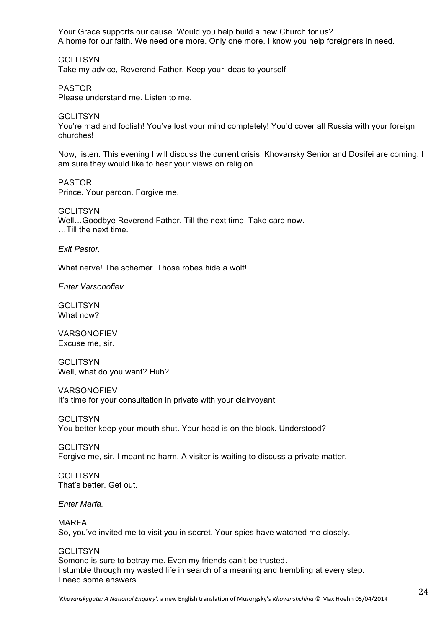Your Grace supports our cause. Would you help build a new Church for us? A home for our faith. We need one more. Only one more. I know you help foreigners in need.

GOLITSYN Take my advice, Reverend Father. Keep your ideas to yourself.

PASTOR Please understand me. Listen to me.

**GOLITSYN** You're mad and foolish! You've lost your mind completely! You'd cover all Russia with your foreign churches!

Now, listen. This evening I will discuss the current crisis. Khovansky Senior and Dosifei are coming. I am sure they would like to hear your views on religion…

PASTOR Prince. Your pardon. Forgive me.

**GOLITSYN** Well…Goodbye Reverend Father. Till the next time. Take care now. …Till the next time.

*Exit Pastor.*

What nerve! The schemer. Those robes hide a wolf!

*Enter Varsonofiev.*

**GOLITSYN** What now?

**VARSONOFIEV** Excuse me, sir.

**GOLITSYN** Well, what do you want? Huh?

VARSONOFIEV It's time for your consultation in private with your clairvoyant.

GOLITSYN You better keep your mouth shut. Your head is on the block. Understood?

GOLITSYN Forgive me, sir. I meant no harm. A visitor is waiting to discuss a private matter.

**GOLITSYN** That's better. Get out.

*Enter Marfa.*

MARFA

So, you've invited me to visit you in secret. Your spies have watched me closely.

#### **GOLITSYN**

Somone is sure to betray me. Even my friends can't be trusted. I stumble through my wasted life in search of a meaning and trembling at every step. I need some answers.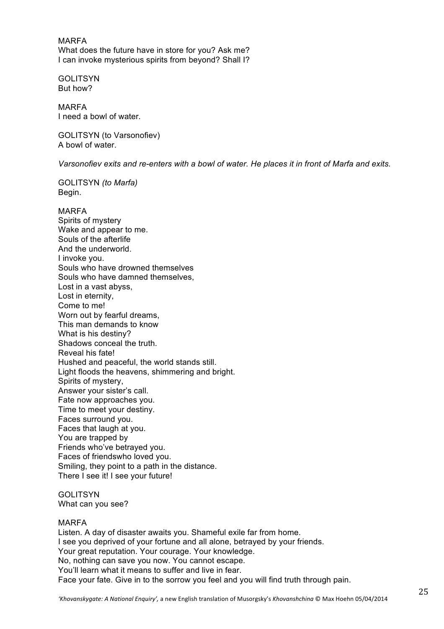MARFA What does the future have in store for you? Ask me? I can invoke mysterious spirits from beyond? Shall I?

**GOLITSYN** But how?

MARFA I need a bowl of water.

GOLITSYN (to Varsonofiev) A bowl of water.

*Varsonofiev exits and re-enters with a bowl of water. He places it in front of Marfa and exits.*

GOLITSYN *(to Marfa)* Begin.

MARFA Spirits of mystery Wake and appear to me. Souls of the afterlife And the underworld. I invoke you. Souls who have drowned themselves Souls who have damned themselves, Lost in a vast abyss, Lost in eternity, Come to me! Worn out by fearful dreams, This man demands to know What is his destiny? Shadows conceal the truth. Reveal his fate! Hushed and peaceful, the world stands still. Light floods the heavens, shimmering and bright. Spirits of mystery, Answer your sister's call. Fate now approaches you. Time to meet your destiny. Faces surround you. Faces that laugh at you. You are trapped by Friends who've betrayed you. Faces of friendswho loved you. Smiling, they point to a path in the distance. There I see it! I see your future!

**GOLITSYN** What can you see?

#### MARFA

Listen. A day of disaster awaits you. Shameful exile far from home. I see you deprived of your fortune and all alone, betrayed by your friends. Your great reputation. Your courage. Your knowledge. No, nothing can save you now. You cannot escape. You'll learn what it means to suffer and live in fear. Face your fate. Give in to the sorrow you feel and you will find truth through pain.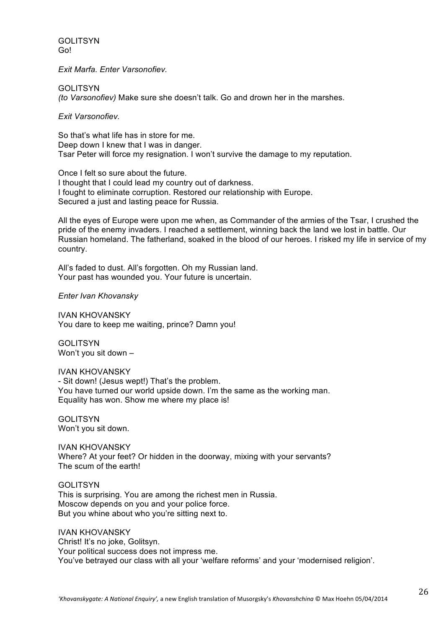**GOLITSYN** Go!

*Exit Marfa. Enter Varsonofiev.*

**GOLITSYN** *(to Varsonofiev)* Make sure she doesn't talk. Go and drown her in the marshes.

*Exit Varsonofiev.*

So that's what life has in store for me. Deep down I knew that I was in danger. Tsar Peter will force my resignation. I won't survive the damage to my reputation.

Once I felt so sure about the future. I thought that I could lead my country out of darkness. I fought to eliminate corruption. Restored our relationship with Europe. Secured a just and lasting peace for Russia.

All the eyes of Europe were upon me when, as Commander of the armies of the Tsar, I crushed the pride of the enemy invaders. I reached a settlement, winning back the land we lost in battle. Our Russian homeland. The fatherland, soaked in the blood of our heroes. I risked my life in service of my country.

All's faded to dust. All's forgotten. Oh my Russian land. Your past has wounded you. Your future is uncertain.

*Enter Ivan Khovansky*

IVAN KHOVANSKY You dare to keep me waiting, prince? Damn you!

**GOLITSYN** Won't you sit down –

IVAN KHOVANSKY - Sit down! (Jesus wept!) That's the problem. You have turned our world upside down. I'm the same as the working man. Equality has won. Show me where my place is!

**GOLITSYN** Won't you sit down.

IVAN KHOVANSKY Where? At your feet? Or hidden in the doorway, mixing with your servants? The scum of the earth!

GOLITSYN This is surprising. You are among the richest men in Russia. Moscow depends on you and your police force. But you whine about who you're sitting next to.

IVAN KHOVANSKY Christ! It's no joke, Golitsyn. Your political success does not impress me. You've betrayed our class with all your 'welfare reforms' and your 'modernised religion'.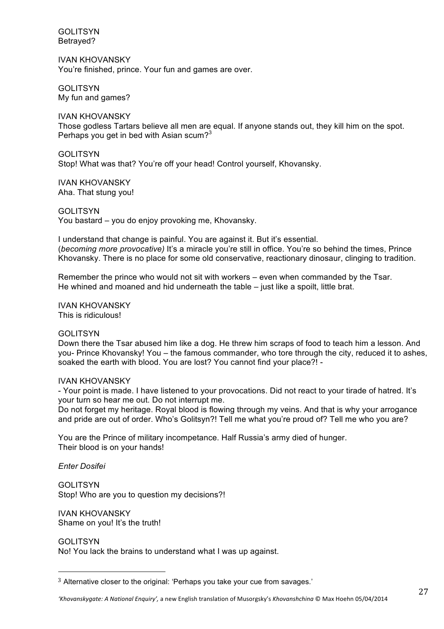GOLITSYN Betrayed?

IVAN KHOVANSKY You're finished, prince. Your fun and games are over.

**GOLITSYN** My fun and games?

IVAN KHOVANSKY Those godless Tartars believe all men are equal. If anyone stands out, they kill him on the spot. Perhaps you get in bed with Asian scum?<sup>3</sup>

**GOLITSYN** Stop! What was that? You're off your head! Control yourself, Khovansky.

IVAN KHOVANSKY Aha. That stung you!

GOLITSYN You bastard – you do enjoy provoking me, Khovansky.

I understand that change is painful. You are against it. But it's essential. (*becoming more provocative)* It's a miracle you're still in office. You're so behind the times, Prince Khovansky. There is no place for some old conservative, reactionary dinosaur, clinging to tradition.

Remember the prince who would not sit with workers – even when commanded by the Tsar. He whined and moaned and hid underneath the table – just like a spoilt, little brat.

IVAN KHOVANSKY This is ridiculous!

#### GOLITSYN

Down there the Tsar abused him like a dog. He threw him scraps of food to teach him a lesson. And you- Prince Khovansky! You – the famous commander, who tore through the city, reduced it to ashes, soaked the earth with blood. You are lost? You cannot find your place?! -

#### IVAN KHOVANSKY

- Your point is made. I have listened to your provocations. Did not react to your tirade of hatred. It's your turn so hear me out. Do not interrupt me.

Do not forget my heritage. Royal blood is flowing through my veins. And that is why your arrogance and pride are out of order. Who's Golitsyn?! Tell me what you're proud of? Tell me who you are?

You are the Prince of military incompetance. Half Russia's army died of hunger. Their blood is on your hands!

*Enter Dosifei*

**GOLITSYN** Stop! Who are you to question my decisions?!

IVAN KHOVANSKY Shame on you! It's the truth!

"""""""""""""""""""""""""""""""""""""""""""""""""""""""

**GOLITSYN** 

No! You lack the brains to understand what I was up against.

<sup>3</sup> Alternative closer to the original: 'Perhaps you take your cue from savages.'

<sup>&#</sup>x27;Khovanskygate: A National Enquiry', a new English translation of Musorgsky's Khovanshchina © Max Hoehn 05/04/2014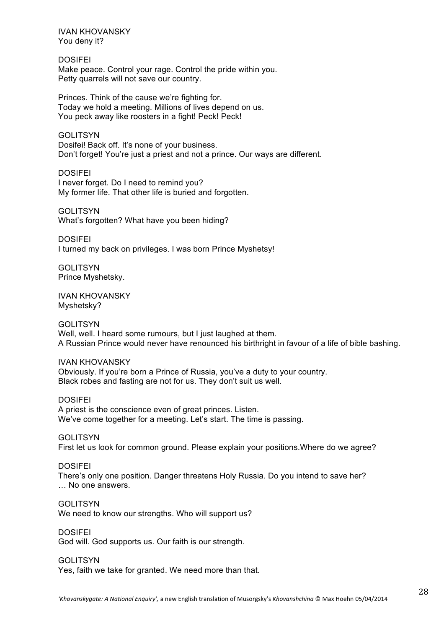IVAN KHOVANSKY You deny it?

DOSIFEI Make peace. Control your rage. Control the pride within you. Petty quarrels will not save our country.

Princes. Think of the cause we're fighting for. Today we hold a meeting. Millions of lives depend on us. You peck away like roosters in a fight! Peck! Peck!

**GOLITSYN** Dosifei! Back off. It's none of your business. Don't forget! You're just a priest and not a prince. Our ways are different.

DOSIFEI I never forget. Do I need to remind you? My former life. That other life is buried and forgotten.

GOLITSYN What's forgotten? What have you been hiding?

**DOSIFFI** I turned my back on privileges. I was born Prince Myshetsy!

GOLITSYN Prince Myshetsky.

IVAN KHOVANSKY Myshetsky?

#### GOLITSYN

Well, well. I heard some rumours, but I just laughed at them. A Russian Prince would never have renounced his birthright in favour of a life of bible bashing.

#### IVAN KHOVANSKY

Obviously. If you're born a Prince of Russia, you've a duty to your country. Black robes and fasting are not for us. They don't suit us well.

DOSIFEI A priest is the conscience even of great princes. Listen. We've come together for a meeting. Let's start. The time is passing.

**GOLITSYN** First let us look for common ground. Please explain your positions.Where do we agree?

#### **DOSIFFI**

There's only one position. Danger threatens Holy Russia. Do you intend to save her? … No one answers.

GOLITSYN

We need to know our strengths. Who will support us?

DOSIFEI

God will. God supports us. Our faith is our strength.

#### GOLITSYN

Yes, faith we take for granted. We need more than that.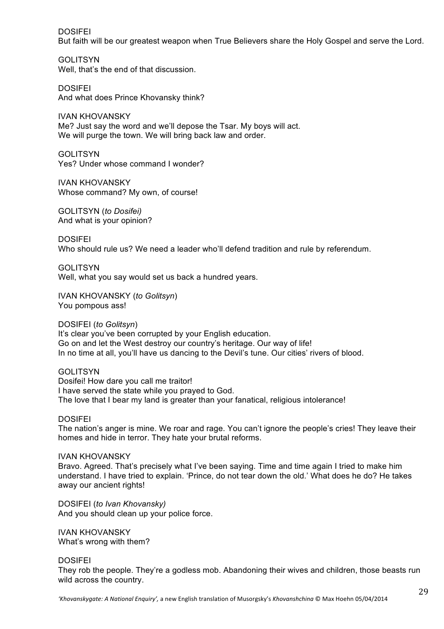**DOSIFFI** 

But faith will be our greatest weapon when True Believers share the Holy Gospel and serve the Lord.

**GOLITSYN** Well, that's the end of that discussion.

DOSIFEI And what does Prince Khovansky think?

IVAN KHOVANSKY Me? Just say the word and we'll depose the Tsar. My boys will act. We will purge the town. We will bring back law and order.

**GOLITSYN** Yes? Under whose command I wonder?

IVAN KHOVANSKY Whose command? My own, of course!

GOLITSYN (*to Dosifei)* And what is your opinion?

**DOSIFFI** Who should rule us? We need a leader who'll defend tradition and rule by referendum.

**GOLITSYN** Well, what you say would set us back a hundred years.

IVAN KHOVANSKY (*to Golitsyn*) You pompous ass!

DOSIFEI (*to Golitsyn*) It's clear you've been corrupted by your English education. Go on and let the West destroy our country's heritage. Our way of life! In no time at all, you'll have us dancing to the Devil's tune. Our cities' rivers of blood.

**GOLITSYN** Dosifei! How dare you call me traitor! I have served the state while you prayed to God. The love that I bear my land is greater than your fanatical, religious intolerance!

DOSIFEI

The nation's anger is mine. We roar and rage. You can't ignore the people's cries! They leave their homes and hide in terror. They hate your brutal reforms.

IVAN KHOVANSKY

Bravo. Agreed. That's precisely what I've been saying. Time and time again I tried to make him understand. I have tried to explain. 'Prince, do not tear down the old.' What does he do? He takes away our ancient rights!

DOSIFEI (*to Ivan Khovansky)* And you should clean up your police force.

IVAN KHOVANSKY What's wrong with them?

DOSIFEI

They rob the people. They're a godless mob. Abandoning their wives and children, those beasts run wild across the country.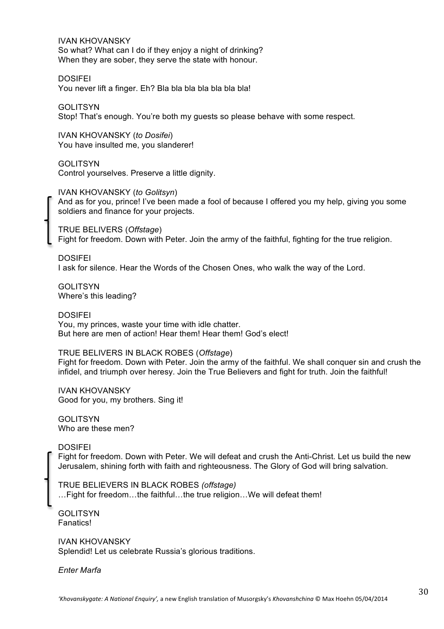IVAN KHOVANSKY So what? What can I do if they enjoy a night of drinking? When they are sober, they serve the state with honour.

DOSIFEI

You never lift a finger. Eh? Bla bla bla bla bla bla bla!

**GOLITSYN** 

Stop! That's enough. You're both my guests so please behave with some respect.

IVAN KHOVANSKY (*to Dosifei*) You have insulted me, you slanderer!

GOLITSYN Control yourselves. Preserve a little dignity.

IVAN KHOVANSKY (*to Golitsyn*) And as for you, prince! I've been made a fool of because I offered you my help, giving you some soldiers and finance for your projects.

TRUE BELIVERS (*Offstage*) Fight for freedom. Down with Peter. Join the army of the faithful, fighting for the true religion.

DOSIFEI I ask for silence. Hear the Words of the Chosen Ones, who walk the way of the Lord.

**GOLITSYN** Where's this leading?

DOSIFEI You, my princes, waste your time with idle chatter. But here are men of action! Hear them! Hear them! God's elect!

TRUE BELIVERS IN BLACK ROBES (*Offstage*) Fight for freedom. Down with Peter. Join the army of the faithful. We shall conquer sin and crush the infidel, and triumph over heresy. Join the True Believers and fight for truth. Join the faithful!

IVAN KHOVANSKY Good for you, my brothers. Sing it!

**GOLITSYN** Who are these men?

**DOSIEEI** Fight for freedom. Down with Peter. We will defeat and crush the Anti-Christ. Let us build the new Jerusalem, shining forth with faith and righteousness. The Glory of God will bring salvation.

TRUE BELIEVERS IN BLACK ROBES *(offstage)* …Fight for freedom…the faithful…the true religion…We will defeat them!

GOLITSYN Fanatics!

IVAN KHOVANSKY Splendid! Let us celebrate Russia's glorious traditions.

*Enter Marfa*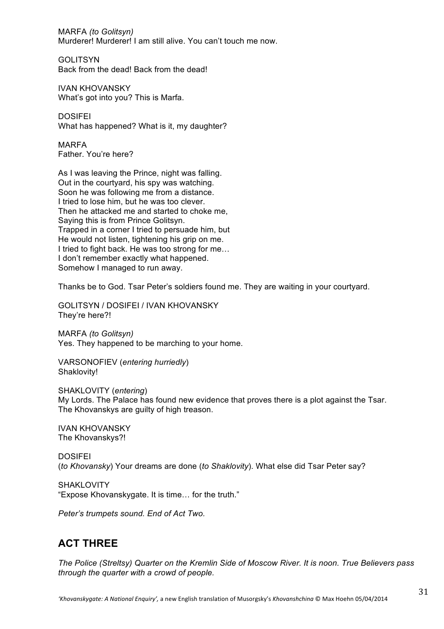MARFA *(to Golitsyn)* Murderer! Murderer! I am still alive. You can't touch me now.

GOLITSYN Back from the dead! Back from the dead!

IVAN KHOVANSKY What's got into you? This is Marfa.

DOSIFEI What has happened? What is it, my daughter?

MARFA Father. You're here?

As I was leaving the Prince, night was falling. Out in the courtyard, his spy was watching. Soon he was following me from a distance. I tried to lose him, but he was too clever. Then he attacked me and started to choke me, Saying this is from Prince Golitsyn. Trapped in a corner I tried to persuade him, but He would not listen, tightening his grip on me. I tried to fight back. He was too strong for me… I don't remember exactly what happened. Somehow I managed to run away.

Thanks be to God. Tsar Peter's soldiers found me. They are waiting in your courtyard.

GOLITSYN / DOSIFEI / IVAN KHOVANSKY They're here?!

MARFA *(to Golitsyn)* Yes. They happened to be marching to your home.

VARSONOFIEV (*entering hurriedly*) Shaklovity!

SHAKLOVITY (*entering*) My Lords. The Palace has found new evidence that proves there is a plot against the Tsar. The Khovanskys are guilty of high treason.

IVAN KHOVANSKY The Khovanskys?!

**DOSIFFI** (*to Khovansky*) Your dreams are done (*to Shaklovity*). What else did Tsar Peter say?

**SHAKLOVITY** "Expose Khovanskygate. It is time… for the truth."

*Peter's trumpets sound. End of Act Two.*

# **ACT THREE**

*The Police (Streltsy) Quarter on the Kremlin Side of Moscow River. It is noon. True Believers pass through the quarter with a crowd of people.*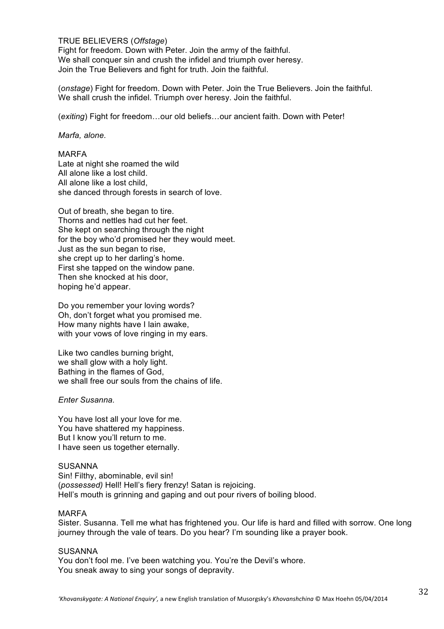#### TRUE BELIEVERS (*Offstage*)

Fight for freedom. Down with Peter. Join the army of the faithful. We shall conquer sin and crush the infidel and triumph over heresy. Join the True Believers and fight for truth. Join the faithful.

(*onstage*) Fight for freedom. Down with Peter. Join the True Believers. Join the faithful. We shall crush the infidel. Triumph over heresy. Join the faithful.

(*exiting*) Fight for freedom…our old beliefs…our ancient faith. Down with Peter!

#### *Marfa, alone.*

MARFA Late at night she roamed the wild All alone like a lost child. All alone like a lost child, she danced through forests in search of love.

Out of breath, she began to tire. Thorns and nettles had cut her feet. She kept on searching through the night for the boy who'd promised her they would meet. Just as the sun began to rise, she crept up to her darling's home. First she tapped on the window pane. Then she knocked at his door, hoping he'd appear.

Do you remember your loving words? Oh, don't forget what you promised me. How many nights have I lain awake, with your vows of love ringing in my ears.

Like two candles burning bright, we shall glow with a holy light. Bathing in the flames of God, we shall free our souls from the chains of life.

#### *Enter Susanna.*

You have lost all your love for me. You have shattered my happiness. But I know you'll return to me. I have seen us together eternally.

#### **SUSANNA**

Sin! Filthy, abominable, evil sin! (*possessed)* Hell! Hell's fiery frenzy! Satan is rejoicing. Hell's mouth is grinning and gaping and out pour rivers of boiling blood.

#### MARFA

Sister. Susanna. Tell me what has frightened you. Our life is hard and filled with sorrow. One long journey through the vale of tears. Do you hear? I'm sounding like a prayer book.

#### SUSANNA

You don't fool me. I've been watching you. You're the Devil's whore. You sneak away to sing your songs of depravity.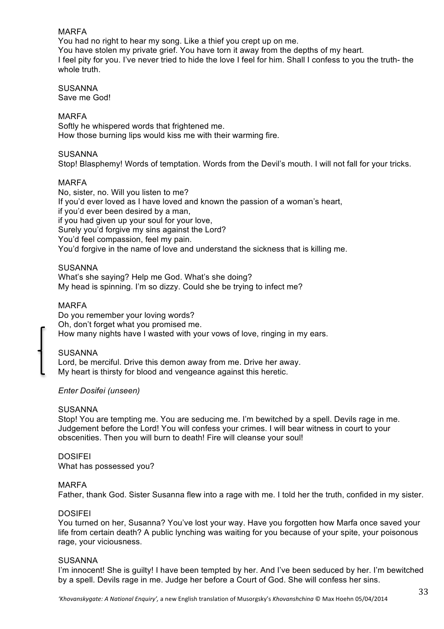#### MARFA

You had no right to hear my song. Like a thief you crept up on me. You have stolen my private grief. You have torn it away from the depths of my heart. I feel pity for you. I've never tried to hide the love I feel for him. Shall I confess to you the truth- the whole truth.

**SUSANNA** Save me God!

#### MARFA

Softly he whispered words that frightened me. How those burning lips would kiss me with their warming fire.

#### SUSANNA

Stop! Blasphemy! Words of temptation. Words from the Devil's mouth. I will not fall for your tricks.

#### MARFA

No, sister, no. Will you listen to me? If you'd ever loved as I have loved and known the passion of a woman's heart, if you'd ever been desired by a man, if you had given up your soul for your love, Surely you'd forgive my sins against the Lord? You'd feel compassion, feel my pain.

You'd forgive in the name of love and understand the sickness that is killing me.

#### **SUSANNA**

What's she saying? Help me God. What's she doing? My head is spinning. I'm so dizzy. Could she be trying to infect me?

#### MARFA

Do you remember your loving words? Oh, don't forget what you promised me. How many nights have I wasted with your vows of love, ringing in my ears.

#### SUSANNA

Lord, be merciful. Drive this demon away from me. Drive her away. My heart is thirsty for blood and vengeance against this heretic.

#### *Enter Dosifei (unseen)*

#### **SUSANNA**

Stop! You are tempting me. You are seducing me. I'm bewitched by a spell. Devils rage in me. Judgement before the Lord! You will confess your crimes. I will bear witness in court to your obscenities. Then you will burn to death! Fire will cleanse your soul!

DOSIFEI What has possessed you?

#### MARFA

Father, thank God. Sister Susanna flew into a rage with me. I told her the truth, confided in my sister.

#### DOSIFEI

You turned on her, Susanna? You've lost your way. Have you forgotten how Marfa once saved your life from certain death? A public lynching was waiting for you because of your spite, your poisonous rage, your viciousness.

#### **SUSANNA**

I'm innocent! She is guilty! I have been tempted by her. And I've been seduced by her. I'm bewitched by a spell. Devils rage in me. Judge her before a Court of God. She will confess her sins.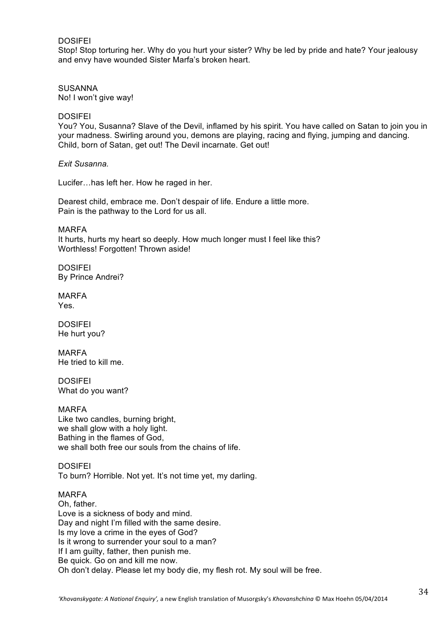#### DOSIFEI

Stop! Stop torturing her. Why do you hurt your sister? Why be led by pride and hate? Your jealousy and envy have wounded Sister Marfa's broken heart.

**SUSANNA** No! I won't give way!

#### DOSIFEI

You? You, Susanna? Slave of the Devil, inflamed by his spirit. You have called on Satan to join you in your madness. Swirling around you, demons are playing, racing and flying, jumping and dancing. Child, born of Satan, get out! The Devil incarnate. Get out!

*Exit Susanna.*

Lucifer…has left her. How he raged in her.

Dearest child, embrace me. Don't despair of life. Endure a little more. Pain is the pathway to the Lord for us all.

MARFA It hurts, hurts my heart so deeply. How much longer must I feel like this? Worthless! Forgotten! Thrown aside!

DOSIFEI By Prince Andrei?

MARFA Yes.

**DOSIFFI** He hurt you?

MARFA He tried to kill me.

DOSIFEI What do you want?

MARFA Like two candles, burning bright, we shall glow with a holy light. Bathing in the flames of God, we shall both free our souls from the chains of life.

DOSIFEI To burn? Horrible. Not yet. It's not time yet, my darling.

#### MARFA

Oh, father. Love is a sickness of body and mind. Day and night I'm filled with the same desire. Is my love a crime in the eyes of God? Is it wrong to surrender your soul to a man? If I am guilty, father, then punish me. Be quick. Go on and kill me now. Oh don't delay. Please let my body die, my flesh rot. My soul will be free.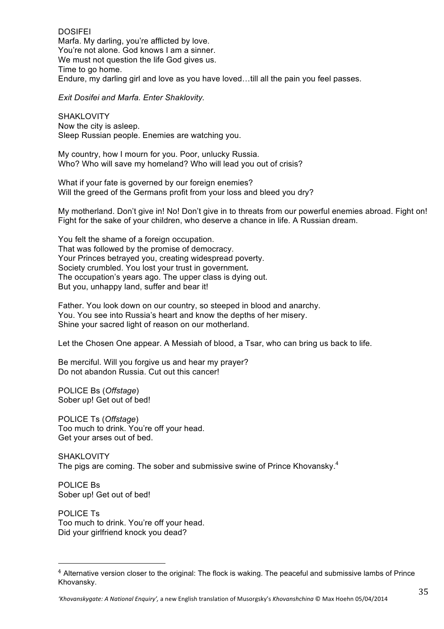**DOSIFFI** Marfa. My darling, you're afflicted by love. You're not alone. God knows I am a sinner. We must not question the life God gives us. Time to go home. Endure, my darling girl and love as you have loved…till all the pain you feel passes.

*Exit Dosifei and Marfa. Enter Shaklovity.*

SHAKLOVITY Now the city is asleep. Sleep Russian people. Enemies are watching you.

My country, how I mourn for you. Poor, unlucky Russia. Who? Who will save my homeland? Who will lead you out of crisis?

What if your fate is governed by our foreign enemies? Will the greed of the Germans profit from your loss and bleed you dry?

My motherland. Don't give in! No! Don't give in to threats from our powerful enemies abroad. Fight on! Fight for the sake of your children, who deserve a chance in life. A Russian dream.

You felt the shame of a foreign occupation. That was followed by the promise of democracy. Your Princes betrayed you, creating widespread poverty. Society crumbled. You lost your trust in government**.** The occupation's years ago. The upper class is dying out. But you, unhappy land, suffer and bear it!

Father. You look down on our country, so steeped in blood and anarchy. You. You see into Russia's heart and know the depths of her misery. Shine your sacred light of reason on our motherland.

Let the Chosen One appear. A Messiah of blood, a Tsar, who can bring us back to life.

Be merciful. Will you forgive us and hear my prayer? Do not abandon Russia. Cut out this cancer!

POLICE Bs (*Offstage*) Sober up! Get out of bed!

POLICE Ts (*Offstage*) Too much to drink. You're off your head. Get your arses out of bed.

SHAKLOVITY The pigs are coming. The sober and submissive swine of Prince Khovansky.<sup>4</sup>

POLICE Bs Sober up! Get out of bed!

"""""""""""""""""""""""""""""""""""""""""""""""""""""""

POLICE Ts Too much to drink. You're off your head. Did your girlfriend knock you dead?

<sup>4</sup> Alternative version closer to the original: The flock is waking. The peaceful and submissive lambs of Prince Khovansky.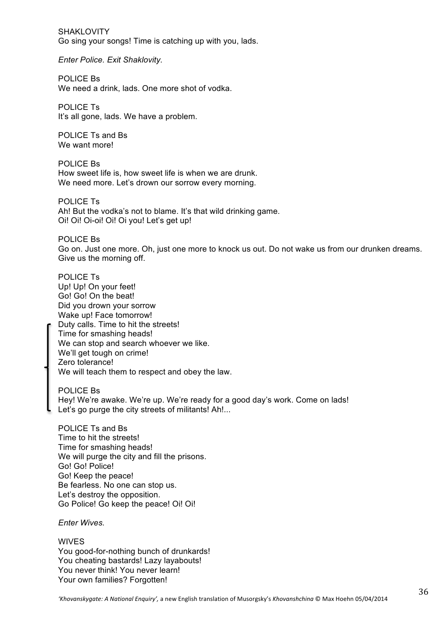SHAKLOVITY Go sing your songs! Time is catching up with you, lads.

*Enter Police. Exit Shaklovity.* 

POLICE Bs We need a drink, lads. One more shot of vodka.

POLICE Ts It's all gone, lads. We have a problem.

POLICE Ts and Bs We want more!

POLICE Bs How sweet life is, how sweet life is when we are drunk. We need more. Let's drown our sorrow every morning.

POLICE Ts Ah! But the vodka's not to blame. It's that wild drinking game. Oi! Oi! Oi-oi! Oi! Oi you! Let's get up!

POLICE Bs Go on. Just one more. Oh, just one more to knock us out. Do not wake us from our drunken dreams. Give us the morning off.

POLICE Ts Up! Up! On your feet! Go! Go! On the beat! Did you drown your sorrow Wake up! Face tomorrow! Duty calls. Time to hit the streets! Time for smashing heads! We can stop and search whoever we like. We'll get tough on crime! Zero tolerance! We will teach them to respect and obey the law.

POLICE Bs Hey! We're awake. We're up. We're ready for a good day's work. Come on lads! Let's go purge the city streets of militants! Ah!...

POLICE Ts and Bs Time to hit the streets! Time for smashing heads! We will purge the city and fill the prisons. Go! Go! Police! Go! Keep the peace! Be fearless. No one can stop us. Let's destroy the opposition. Go Police! Go keep the peace! Oi! Oi!

*Enter Wives.*

**WIVES** 

You good-for-nothing bunch of drunkards! You cheating bastards! Lazy layabouts! You never think! You never learn! Your own families? Forgotten!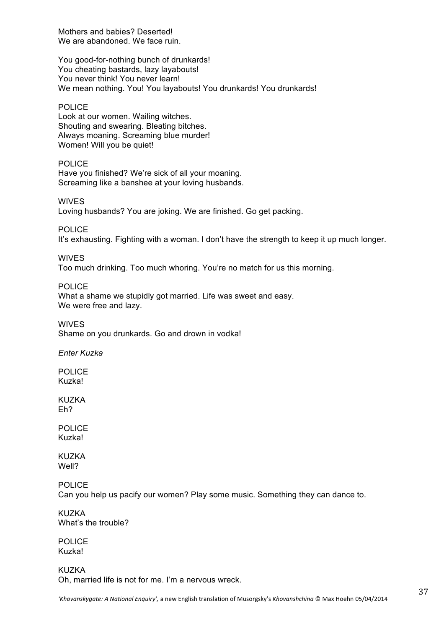Mothers and babies? Deserted! We are abandoned. We face ruin.

You good-for-nothing bunch of drunkards! You cheating bastards, lazy layabouts! You never think! You never learn! We mean nothing. You! You layabouts! You drunkards! You drunkards!

#### POLICE

Look at our women. Wailing witches. Shouting and swearing. Bleating bitches. Always moaning. Screaming blue murder! Women! Will you be quiet!

POLICE Have you finished? We're sick of all your moaning. Screaming like a banshee at your loving husbands.

WIVES Loving husbands? You are joking. We are finished. Go get packing.

POLICE

It's exhausting. Fighting with a woman. I don't have the strength to keep it up much longer.

WIVES

Too much drinking. Too much whoring. You're no match for us this morning.

POLICE

What a shame we stupidly got married. Life was sweet and easy. We were free and lazy.

WIVES Shame on you drunkards. Go and drown in vodka!

*Enter Kuzka*

POLICE Kuzka!

KUZKA Eh?

POLICE Kuzka!

KUZKA Well?

POLICE Can you help us pacify our women? Play some music. Something they can dance to.

**KUZKA** What's the trouble?

POLICE Kuzka!

KUZKA Oh, married life is not for me. I'm a nervous wreck.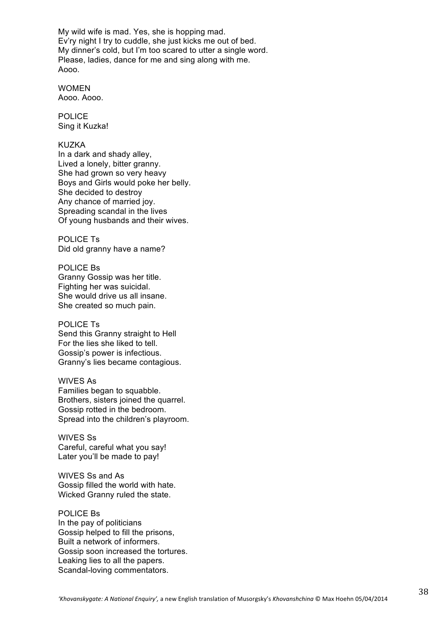My wild wife is mad. Yes, she is hopping mad. Ev'ry night I try to cuddle, she just kicks me out of bed. My dinner's cold, but I'm too scared to utter a single word. Please, ladies, dance for me and sing along with me. Aooo.

WOMEN Aooo. Aooo.

POLICE Sing it Kuzka!

#### KUZKA

In a dark and shady alley, Lived a lonely, bitter granny. She had grown so very heavy Boys and Girls would poke her belly. She decided to destroy Any chance of married joy. Spreading scandal in the lives Of young husbands and their wives.

POLICE Ts Did old granny have a name?

POLICE Bs Granny Gossip was her title. Fighting her was suicidal. She would drive us all insane. She created so much pain.

#### POLICE Ts

Send this Granny straight to Hell For the lies she liked to tell. Gossip's power is infectious. Granny's lies became contagious.

#### WIVES As

Families began to squabble. Brothers, sisters joined the quarrel. Gossip rotted in the bedroom. Spread into the children's playroom.

WIVES Ss Careful, careful what you say! Later you'll be made to pay!

WIVES Ss and As Gossip filled the world with hate. Wicked Granny ruled the state.

#### POLICE Bs

In the pay of politicians Gossip helped to fill the prisons, Built a network of informers. Gossip soon increased the tortures. Leaking lies to all the papers. Scandal-loving commentators.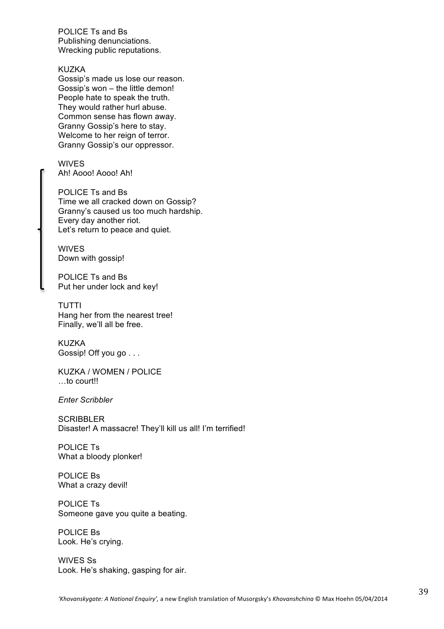POLICE Ts and Bs Publishing denunciations. Wrecking public reputations.

#### KUZKA

Gossip's made us lose our reason. Gossip's won – the little demon! People hate to speak the truth. They would rather hurl abuse. Common sense has flown away. Granny Gossip's here to stay. Welcome to her reign of terror. Granny Gossip's our oppressor.

WIVES Ah! Aooo! Aooo! Ah!

POLICE Ts and Bs Time we all cracked down on Gossip? Granny's caused us too much hardship. Every day another riot. Let's return to peace and quiet.

WIVES Down with gossip!

POLICE Ts and Bs Put her under lock and key!

TUTTI Hang her from the nearest tree! Finally, we'll all be free.

KUZKA Gossip! Off you go . . .

KUZKA / WOMEN / POLICE …to court!!

*Enter Scribbler*

**SCRIBBLER** Disaster! A massacre! They'll kill us all! I'm terrified!

POLICE Ts What a bloody plonker!

POLICE Bs What a crazy devil!

POLICE Ts Someone gave you quite a beating.

POLICE Bs Look. He's crying.

WIVES Ss Look. He's shaking, gasping for air.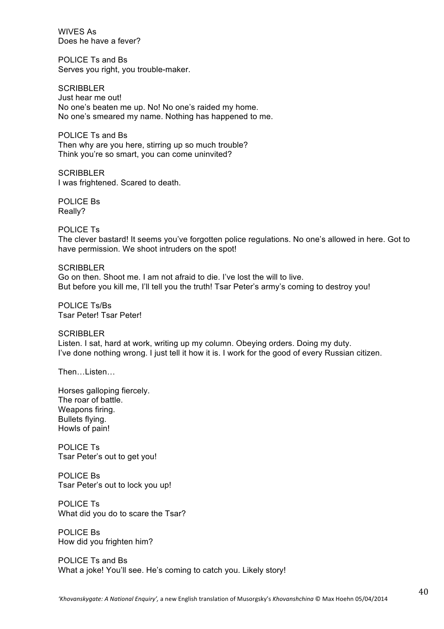WIVES As Does he have a fever?

POLICE Ts and Bs Serves you right, you trouble-maker.

**SCRIBBLER** Just hear me out! No one's beaten me up. No! No one's raided my home. No one's smeared my name. Nothing has happened to me.

POLICE Ts and Bs Then why are you here, stirring up so much trouble? Think you're so smart, you can come uninvited?

**SCRIBBLER** I was frightened. Scared to death.

POLICE Bs Really?

POLICE Ts The clever bastard! It seems you've forgotten police regulations. No one's allowed in here. Got to have permission. We shoot intruders on the spot!

SCRIBBLER Go on then. Shoot me. I am not afraid to die. I've lost the will to live. But before you kill me, I'll tell you the truth! Tsar Peter's army's coming to destroy you!

POLICE Ts/Bs Tsar Peter! Tsar Peter!

SCRIBBLER Listen. I sat, hard at work, writing up my column. Obeying orders. Doing my duty. I've done nothing wrong. I just tell it how it is. I work for the good of every Russian citizen.

Then…Listen…

Horses galloping fiercely. The roar of battle. Weapons firing. Bullets flying. Howls of pain!

POLICE Ts Tsar Peter's out to get you!

POLICE Bs Tsar Peter's out to lock you up!

POLICE Ts What did you do to scare the Tsar?

POLICE Bs How did you frighten him?

POLICE Ts and Bs What a joke! You'll see. He's coming to catch you. Likely story!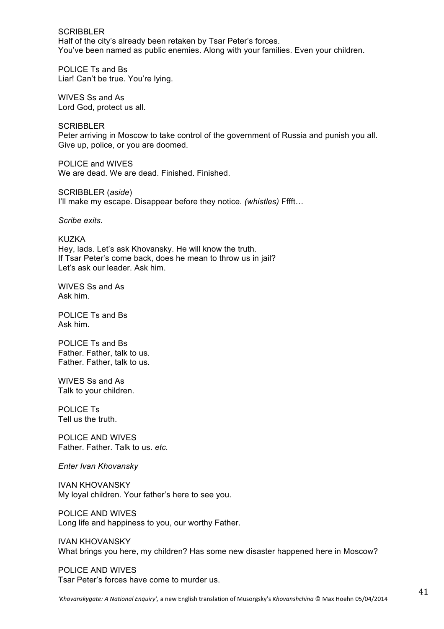SCRIBBLER Half of the city's already been retaken by Tsar Peter's forces. You've been named as public enemies. Along with your families. Even your children.

POLICE Ts and Bs Liar! Can't be true. You're lying.

WIVES Ss and As Lord God, protect us all.

**SCRIBBLER** Peter arriving in Moscow to take control of the government of Russia and punish you all. Give up, police, or you are doomed.

POLICE and WIVES We are dead. We are dead. Finished. Finished.

SCRIBBLER (*aside*) I'll make my escape. Disappear before they notice. *(whistles)* Fffft…

*Scribe exits.*

KUZKA Hey, lads. Let's ask Khovansky. He will know the truth. If Tsar Peter's come back, does he mean to throw us in jail? Let's ask our leader. Ask him.

WIVES Ss and As Ask him.

POLICE Ts and Bs Ask him.

POLICE Ts and Bs Father. Father, talk to us. Father. Father, talk to us.

WIVES Ss and As Talk to your children.

POLICE Ts Tell us the truth.

POLICE AND WIVES Father. Father. Talk to us. *etc.*

*Enter Ivan Khovansky*

IVAN KHOVANSKY My loyal children. Your father's here to see you.

POLICE AND WIVES Long life and happiness to you, our worthy Father.

IVAN KHOVANSKY What brings you here, my children? Has some new disaster happened here in Moscow?

POLICE AND WIVES Tsar Peter's forces have come to murder us.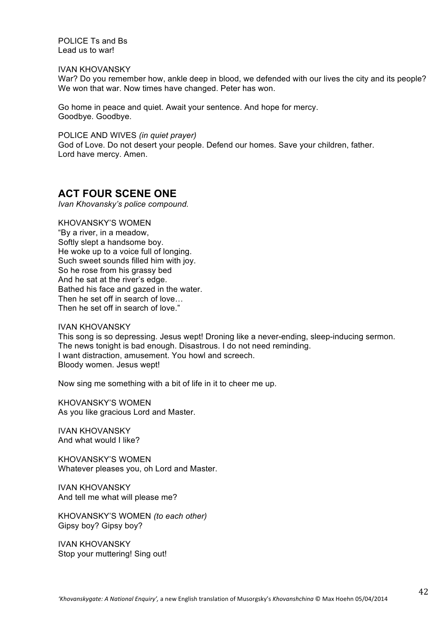POLICE Ts and Bs Lead us to war!

IVAN KHOVANSKY

War? Do you remember how, ankle deep in blood, we defended with our lives the city and its people? We won that war. Now times have changed. Peter has won.

Go home in peace and quiet. Await your sentence. And hope for mercy. Goodbye. Goodbye.

POLICE AND WIVES *(in quiet prayer)* God of Love. Do not desert your people. Defend our homes. Save your children, father. Lord have mercy. Amen.

# **ACT FOUR SCENE ONE**

*Ivan Khovansky's police compound.* 

KHOVANSKY'S WOMEN "By a river, in a meadow, Softly slept a handsome boy. He woke up to a voice full of longing. Such sweet sounds filled him with joy. So he rose from his grassy bed And he sat at the river's edge. Bathed his face and gazed in the water. Then he set off in search of love… Then he set off in search of love."

IVAN KHOVANSKY

This song is so depressing. Jesus wept! Droning like a never-ending, sleep-inducing sermon. The news tonight is bad enough. Disastrous. I do not need reminding. I want distraction, amusement. You howl and screech. Bloody women. Jesus wept!

Now sing me something with a bit of life in it to cheer me up.

KHOVANSKY'S WOMEN As you like gracious Lord and Master.

IVAN KHOVANSKY And what would I like?

KHOVANSKY'S WOMEN Whatever pleases you, oh Lord and Master.

IVAN KHOVANSKY And tell me what will please me?

KHOVANSKY'S WOMEN *(to each other)* Gipsy boy? Gipsy boy?

IVAN KHOVANSKY Stop your muttering! Sing out!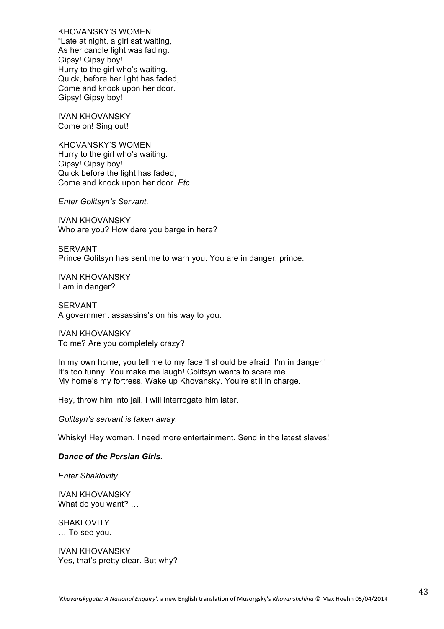KHOVANSKY'S WOMEN "Late at night, a girl sat waiting, As her candle light was fading. Gipsy! Gipsy boy! Hurry to the girl who's waiting. Quick, before her light has faded, Come and knock upon her door. Gipsy! Gipsy boy!

IVAN KHOVANSKY Come on! Sing out!

KHOVANSKY'S WOMEN Hurry to the girl who's waiting. Gipsy! Gipsy boy! Quick before the light has faded, Come and knock upon her door. *Etc.*

*Enter Golitsyn's Servant.*

IVAN KHOVANSKY Who are you? How dare you barge in here?

SERVANT Prince Golitsyn has sent me to warn you: You are in danger, prince.

IVAN KHOVANSKY I am in danger?

SERVANT A government assassins's on his way to you.

IVAN KHOVANSKY To me? Are you completely crazy?

In my own home, you tell me to my face 'I should be afraid. I'm in danger.' It's too funny. You make me laugh! Golitsyn wants to scare me. My home's my fortress. Wake up Khovansky. You're still in charge.

Hey, throw him into jail. I will interrogate him later.

*Golitsyn's servant is taken away.*

Whisky! Hey women. I need more entertainment. Send in the latest slaves!

#### *Dance of the Persian Girls.*

*Enter Shaklovity.*

IVAN KHOVANSKY What do you want? …

SHAKLOVITY … To see you.

IVAN KHOVANSKY Yes, that's pretty clear. But why?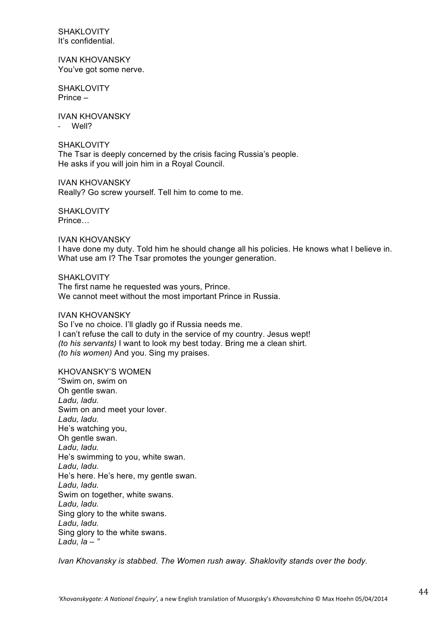SHAKI OVITY It's confidential.

IVAN KHOVANSKY You've got some nerve.

**SHAKLOVITY** Prince –

IVAN KHOVANSKY , Well?

**SHAKLOVITY** The Tsar is deeply concerned by the crisis facing Russia's people. He asks if you will join him in a Royal Council.

IVAN KHOVANSKY Really? Go screw yourself. Tell him to come to me.

**SHAKLOVITY** Prince…

IVAN KHOVANSKY I have done my duty. Told him he should change all his policies. He knows what I believe in. What use am I? The Tsar promotes the younger generation.

SHAKI OVITY The first name he requested was yours, Prince. We cannot meet without the most important Prince in Russia.

IVAN KHOVANSKY So I've no choice. I'll gladly go if Russia needs me. I can't refuse the call to duty in the service of my country. Jesus wept! *(to his servants)* I want to look my best today. Bring me a clean shirt. *(to his women)* And you. Sing my praises.

KHOVANSKY'S WOMEN "Swim on, swim on Oh gentle swan. *Ladu, ladu.* Swim on and meet your lover. *Ladu, ladu.* He's watching you, Oh gentle swan. *Ladu, ladu.* He's swimming to you, white swan. *Ladu, ladu.* He's here. He's here, my gentle swan. *Ladu, ladu.* Swim on together, white swans. *Ladu, ladu.* Sing glory to the white swans. *Ladu, ladu.* Sing glory to the white swans. *Ladu, la – "*

*Ivan Khovansky is stabbed. The Women rush away. Shaklovity stands over the body.*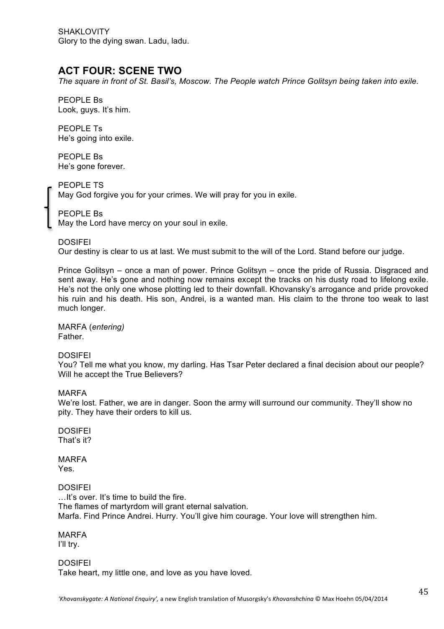SHAKLOVITY Glory to the dying swan. Ladu, ladu.

# **ACT FOUR: SCENE TWO**

*The square in front of St. Basil's, Moscow. The People watch Prince Golitsyn being taken into exile.*

PEOPLE Bs Look, guys. It's him.

PEOPLE Ts He's going into exile.

PEOPLE Bs He's gone forever.

PEOPLE TS May God forgive you for your crimes. We will pray for you in exile.

PEOPLE Bs May the Lord have mercy on your soul in exile.

DOSIFEI

Our destiny is clear to us at last. We must submit to the will of the Lord. Stand before our judge.

Prince Golitsyn – once a man of power. Prince Golitsyn – once the pride of Russia. Disgraced and sent away. He's gone and nothing now remains except the tracks on his dusty road to lifelong exile. He's not the only one whose plotting led to their downfall. Khovansky's arrogance and pride provoked his ruin and his death. His son, Andrei, is a wanted man. His claim to the throne too weak to last much longer.

MARFA (*entering)* Father.

DOSIFEI

You? Tell me what you know, my darling. Has Tsar Peter declared a final decision about our people? Will he accept the True Believers?

#### MARFA

We're lost. Father, we are in danger. Soon the army will surround our community. They'll show no pity. They have their orders to kill us.

**DOSIFFI** That's it?

MARFA Yes.

DOSIFEI …It's over. It's time to build the fire. The flames of martyrdom will grant eternal salvation. Marfa. Find Prince Andrei. Hurry. You'll give him courage. Your love will strengthen him.

MARFA

I'll try.

**DOSIFEI** Take heart, my little one, and love as you have loved.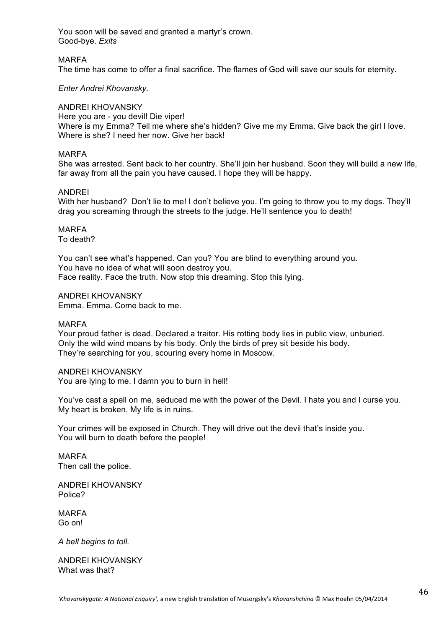You soon will be saved and granted a martyr's crown. Good-bye. *Exits*

#### MARFA

The time has come to offer a final sacrifice. The flames of God will save our souls for eternity.

#### *Enter Andrei Khovansky.*

#### ANDREI KHOVANSKY

Here you are - you devil! Die viper! Where is my Emma? Tell me where she's hidden? Give me my Emma. Give back the girl I love. Where is she? I need her now. Give her back!

#### MARFA

She was arrested. Sent back to her country. She'll join her husband. Soon they will build a new life, far away from all the pain you have caused. I hope they will be happy.

#### ANDREI

With her husband? Don't lie to me! I don't believe you. I'm going to throw you to my dogs. They'll drag you screaming through the streets to the judge. He'll sentence you to death!

### MARFA

To death?

You can't see what's happened. Can you? You are blind to everything around you. You have no idea of what will soon destroy you. Face reality. Face the truth. Now stop this dreaming. Stop this lying.

ANDREI KHOVANSKY Emma. Emma. Come back to me.

#### MARFA

Your proud father is dead. Declared a traitor. His rotting body lies in public view, unburied. Only the wild wind moans by his body. Only the birds of prey sit beside his body. They're searching for you, scouring every home in Moscow.

#### ANDREI KHOVANSKY

You are lying to me. I damn you to burn in hell!

You've cast a spell on me, seduced me with the power of the Devil. I hate you and I curse you. My heart is broken. My life is in ruins.

Your crimes will be exposed in Church. They will drive out the devil that's inside you. You will burn to death before the people!

MARFA Then call the police.

ANDREI KHOVANSKY Police?

MARFA Go on!

*A bell begins to toll.*

ANDREI KHOVANSKY What was that?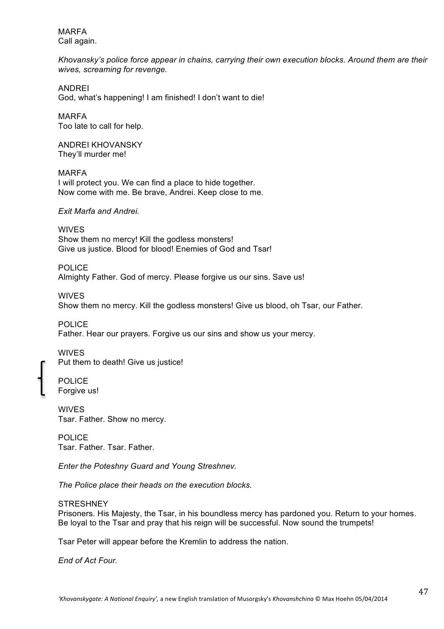MARFA Call again.

*Khovansky's police force appear in chains, carrying their own execution blocks. Around them are their wives, screaming for revenge.*

ANDREI God, what's happening! I am finished! I don't want to die!

MARFA Too late to call for help.

ANDREI KHOVANSKY They'll murder me!

MARFA I will protect you. We can find a place to hide together. Now come with me. Be brave, Andrei. Keep close to me.

*Exit Marfa and Andrei.*

**WIVES** Show them no mercy! Kill the godless monsters! Give us justice. Blood for blood! Enemies of God and Tsar!

POLICE Almighty Father. God of mercy. Please forgive us our sins. Save us!

WIVES Show them no mercy. Kill the godless monsters! Give us blood, oh Tsar, our Father.

POLICE Father. Hear our prayers. Forgive us our sins and show us your mercy.

WIVES Put them to death! Give us justice!

POLICE Forgive us!

WIVES Tsar. Father. Show no mercy.

POLICE Tsar. Father. Tsar. Father.

*Enter the Poteshny Guard and Young Streshnev.* 

*The Police place their heads on the execution blocks.*

**STRESHNEY** 

Prisoners. His Majesty, the Tsar, in his boundless mercy has pardoned you. Return to your homes. Be loyal to the Tsar and pray that his reign will be successful. Now sound the trumpets!

Tsar Peter will appear before the Kremlin to address the nation.

*End of Act Four.*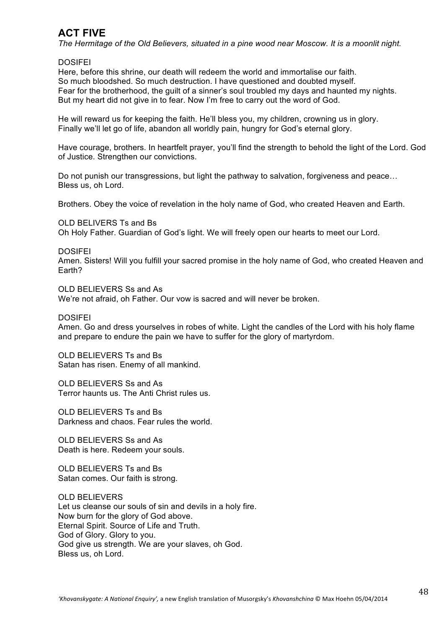# **ACT FIVE**

*The Hermitage of the Old Believers, situated in a pine wood near Moscow. It is a moonlit night.*

#### DOSIFEI

Here, before this shrine, our death will redeem the world and immortalise our faith. So much bloodshed. So much destruction. I have questioned and doubted myself. Fear for the brotherhood, the guilt of a sinner's soul troubled my days and haunted my nights. But my heart did not give in to fear. Now I'm free to carry out the word of God.

He will reward us for keeping the faith. He'll bless you, my children, crowning us in glory. Finally we'll let go of life, abandon all worldly pain, hungry for God's eternal glory.

Have courage, brothers. In heartfelt prayer, you'll find the strength to behold the light of the Lord. God of Justice. Strengthen our convictions.

Do not punish our transgressions, but light the pathway to salvation, forgiveness and peace... Bless us, oh Lord.

Brothers. Obey the voice of revelation in the holy name of God, who created Heaven and Earth.

OLD BELIVERS Ts and Bs

Oh Holy Father. Guardian of God's light. We will freely open our hearts to meet our Lord.

DOSIFEI

Amen. Sisters! Will you fulfill your sacred promise in the holy name of God, who created Heaven and Earth?

OLD BELIEVERS Ss and As We're not afraid, oh Father. Our vow is sacred and will never be broken.

DOSIFEI

Amen. Go and dress yourselves in robes of white. Light the candles of the Lord with his holy flame and prepare to endure the pain we have to suffer for the glory of martyrdom.

OLD BELIEVERS Ts and Bs Satan has risen. Enemy of all mankind.

OLD BELIEVERS Ss and As Terror haunts us. The Anti Christ rules us.

OLD BELIEVERS Ts and Bs Darkness and chaos. Fear rules the world.

OLD BELIEVERS Ss and As Death is here. Redeem your souls.

OLD BELIEVERS Ts and Bs Satan comes. Our faith is strong.

OLD BELIEVERS Let us cleanse our souls of sin and devils in a holy fire. Now burn for the glory of God above. Eternal Spirit. Source of Life and Truth. God of Glory. Glory to you. God give us strength. We are your slaves, oh God. Bless us, oh Lord.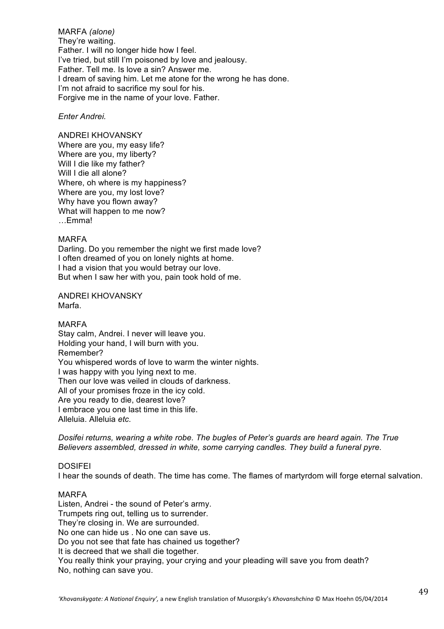MARFA *(alone)* They're waiting. Father. I will no longer hide how I feel. I've tried, but still I'm poisoned by love and jealousy. Father. Tell me. Is love a sin? Answer me. I dream of saving him. Let me atone for the wrong he has done. I'm not afraid to sacrifice my soul for his. Forgive me in the name of your love. Father.

#### *Enter Andrei.*

ANDREI KHOVANSKY Where are you, my easy life? Where are you, my liberty? Will I die like my father? Will I die all alone? Where, oh where is my happiness? Where are you, my lost love? Why have you flown away? What will happen to me now? *…*Emma!

#### MARFA

Darling. Do you remember the night we first made love? I often dreamed of you on lonely nights at home. I had a vision that you would betray our love. But when I saw her with you, pain took hold of me.

ANDREI KHOVANSKY Marfa.

MARFA Stay calm, Andrei. I never will leave you. Holding your hand, I will burn with you. Remember? You whispered words of love to warm the winter nights. I was happy with you lying next to me. Then our love was veiled in clouds of darkness. All of your promises froze in the icy cold. Are you ready to die, dearest love? I embrace you one last time in this life. Alleluia. Alleluia *etc.*

*Dosifei returns, wearing a white robe. The bugles of Peter's guards are heard again. The True Believers assembled, dressed in white, some carrying candles. They build a funeral pyre.*

#### **DOSIFFI**

I hear the sounds of death. The time has come. The flames of martyrdom will forge eternal salvation.

#### MARFA

Listen, Andrei - the sound of Peter's army. Trumpets ring out, telling us to surrender. They're closing in. We are surrounded. No one can hide us . No one can save us. Do you not see that fate has chained us together? It is decreed that we shall die together. You really think your praying, your crying and your pleading will save you from death? No, nothing can save you.